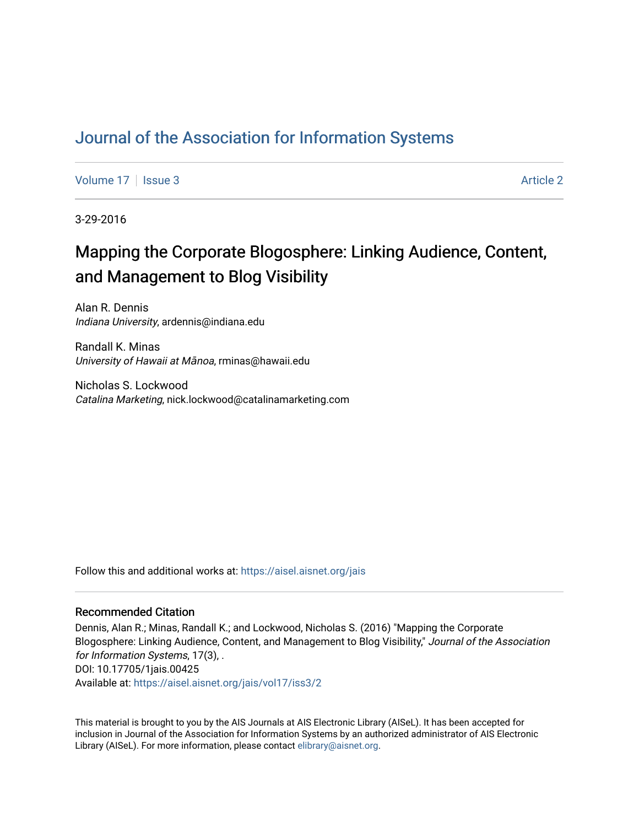# [Journal of the Association for Information Systems](https://aisel.aisnet.org/jais)

[Volume 17](https://aisel.aisnet.org/jais/vol17) | [Issue 3](https://aisel.aisnet.org/jais/vol17/iss3) Article 2

3-29-2016

# Mapping the Corporate Blogosphere: Linking Audience, Content, and Management to Blog Visibility

Alan R. Dennis Indiana University, ardennis@indiana.edu

Randall K. Minas University of Hawaii at Mānoa, rminas@hawaii.edu

Nicholas S. Lockwood Catalina Marketing, nick.lockwood@catalinamarketing.com

Follow this and additional works at: [https://aisel.aisnet.org/jais](https://aisel.aisnet.org/jais?utm_source=aisel.aisnet.org%2Fjais%2Fvol17%2Fiss3%2F2&utm_medium=PDF&utm_campaign=PDFCoverPages) 

#### Recommended Citation

Dennis, Alan R.; Minas, Randall K.; and Lockwood, Nicholas S. (2016) "Mapping the Corporate Blogosphere: Linking Audience, Content, and Management to Blog Visibility," Journal of the Association for Information Systems, 17(3), . DOI: 10.17705/1jais.00425 Available at: [https://aisel.aisnet.org/jais/vol17/iss3/2](https://aisel.aisnet.org/jais/vol17/iss3/2?utm_source=aisel.aisnet.org%2Fjais%2Fvol17%2Fiss3%2F2&utm_medium=PDF&utm_campaign=PDFCoverPages)

This material is brought to you by the AIS Journals at AIS Electronic Library (AISeL). It has been accepted for inclusion in Journal of the Association for Information Systems by an authorized administrator of AIS Electronic Library (AISeL). For more information, please contact [elibrary@aisnet.org.](mailto:elibrary@aisnet.org%3E)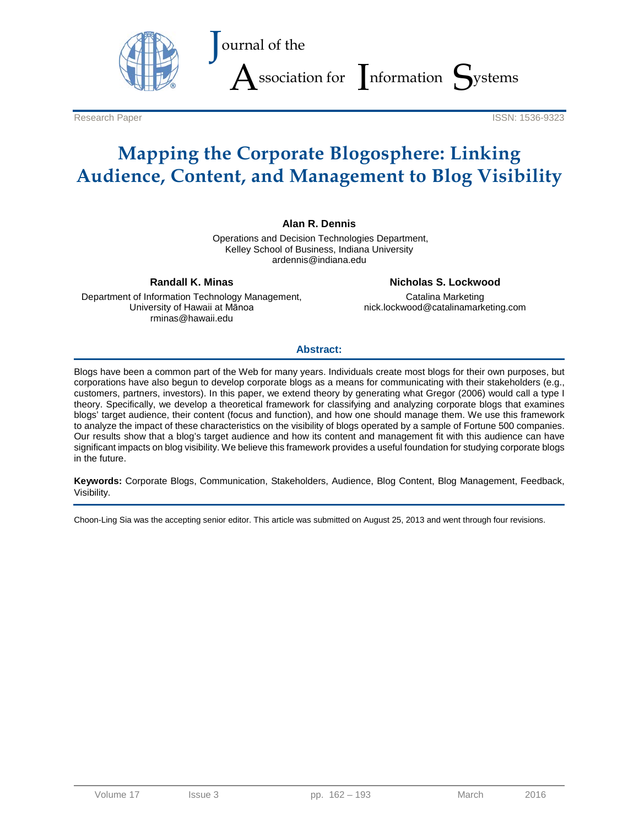

Research Paper **ISSN: 1536-9323** 

# **Mapping the Corporate Blogosphere: Linking Audience, Content, and Management to Blog Visibility**

#### **Alan R. Dennis**

Operations and Decision Technologies Department, Kelley School of Business, Indiana University ardennis@indiana.edu

**Randall K. Minas**

Department of Information Technology Management, University of Hawaii at Mānoa rminas@hawaii.edu

**Nicholas S. Lockwood**

Catalina Marketing nick.lockwood@catalinamarketing.com

#### **Abstract:**

Blogs have been a common part of the Web for many years. Individuals create most blogs for their own purposes, but corporations have also begun to develop corporate blogs as a means for communicating with their stakeholders (e.g., customers, partners, investors). In this paper, we extend theory by generating what Gregor (2006) would call a type I theory. Specifically, we develop a theoretical framework for classifying and analyzing corporate blogs that examines blogs' target audience, their content (focus and function), and how one should manage them. We use this framework to analyze the impact of these characteristics on the visibility of blogs operated by a sample of Fortune 500 companies. Our results show that a blog's target audience and how its content and management fit with this audience can have significant impacts on blog visibility. We believe this framework provides a useful foundation for studying corporate blogs in the future.

**Keywords:** Corporate Blogs, Communication, Stakeholders, Audience, Blog Content, Blog Management, Feedback, Visibility.

Choon-Ling Sia was the accepting senior editor. This article was submitted on August 25, 2013 and went through four revisions.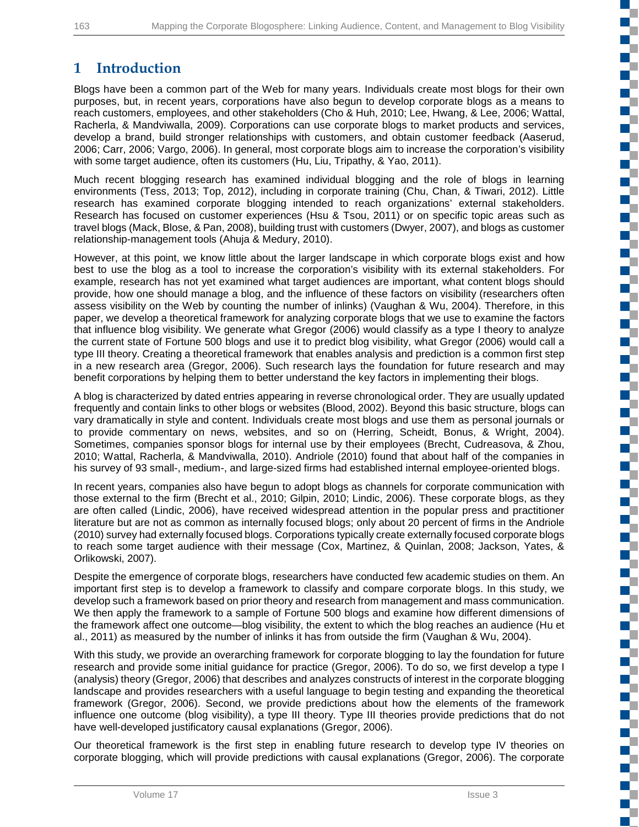n T

c ď.

d. ď.

c

n a Œ. EĒ. T.

m.

ПĒ n T

E.

m. **Film** 

ď,

**TT** 

E. ď, n T

# **1 Introduction**

Blogs have been a common part of the Web for many years. Individuals create most blogs for their own purposes, but, in recent years, corporations have also begun to develop corporate blogs as a means to reach customers, employees, and other stakeholders (Cho & Huh, 2010; Lee, Hwang, & Lee, 2006; Wattal, Racherla, & Mandviwalla, 2009). Corporations can use corporate blogs to market products and services, develop a brand, build stronger relationships with customers, and obtain customer feedback (Aaserud, 2006; Carr, 2006; Vargo, 2006). In general, most corporate blogs aim to increase the corporation's visibility with some target audience, often its customers (Hu, Liu, Tripathy, & Yao, 2011).

Much recent blogging research has examined individual blogging and the role of blogs in learning environments (Tess, 2013; Top, 2012), including in corporate training (Chu, Chan, & Tiwari, 2012). Little research has examined corporate blogging intended to reach organizations' external stakeholders. Research has focused on customer experiences (Hsu & Tsou, 2011) or on specific topic areas such as travel blogs (Mack, Blose, & Pan, 2008), building trust with customers (Dwyer, 2007), and blogs as customer relationship-management tools (Ahuja & Medury, 2010).

However, at this point, we know little about the larger landscape in which corporate blogs exist and how best to use the blog as a tool to increase the corporation's visibility with its external stakeholders. For example, research has not yet examined what target audiences are important, what content blogs should provide, how one should manage a blog, and the influence of these factors on visibility (researchers often assess visibility on the Web by counting the number of inlinks) (Vaughan & Wu, 2004). Therefore, in this paper, we develop a theoretical framework for analyzing corporate blogs that we use to examine the factors that influence blog visibility. We generate what Gregor (2006) would classify as a type I theory to analyze the current state of Fortune 500 blogs and use it to predict blog visibility, what Gregor (2006) would call a type III theory. Creating a theoretical framework that enables analysis and prediction is a common first step in a new research area (Gregor, 2006). Such research lays the foundation for future research and may benefit corporations by helping them to better understand the key factors in implementing their blogs.

A blog is characterized by dated entries appearing in reverse chronological order. They are usually updated frequently and contain links to other blogs or websites (Blood, 2002). Beyond this basic structure, blogs can vary dramatically in style and content. Individuals create most blogs and use them as personal journals or to provide commentary on news, websites, and so on (Herring, Scheidt, Bonus, & Wright, 2004). Sometimes, companies sponsor blogs for internal use by their employees (Brecht, Cudreasova, & Zhou, 2010; Wattal, Racherla, & Mandviwalla, 2010). Andriole (2010) found that about half of the companies in his survey of 93 small-, medium-, and large-sized firms had established internal employee-oriented blogs.

In recent years, companies also have begun to adopt blogs as channels for corporate communication with those external to the firm (Brecht et al., 2010; Gilpin, 2010; Lindic, 2006). These corporate blogs, as they are often called (Lindic, 2006), have received widespread attention in the popular press and practitioner literature but are not as common as internally focused blogs; only about 20 percent of firms in the Andriole (2010) survey had externally focused blogs. Corporations typically create externally focused corporate blogs to reach some target audience with their message (Cox, Martinez, & Quinlan, 2008; Jackson, Yates, & Orlikowski, 2007).

Despite the emergence of corporate blogs, researchers have conducted few academic studies on them. An important first step is to develop a framework to classify and compare corporate blogs. In this study, we develop such a framework based on prior theory and research from management and mass communication. We then apply the framework to a sample of Fortune 500 blogs and examine how different dimensions of the framework affect one outcome—blog visibility, the extent to which the blog reaches an audience (Hu et al., 2011) as measured by the number of inlinks it has from outside the firm (Vaughan & Wu, 2004).

With this study, we provide an overarching framework for corporate blogging to lay the foundation for future research and provide some initial guidance for practice (Gregor, 2006). To do so, we first develop a type I (analysis) theory (Gregor, 2006) that describes and analyzes constructs of interest in the corporate blogging landscape and provides researchers with a useful language to begin testing and expanding the theoretical framework (Gregor, 2006). Second, we provide predictions about how the elements of the framework influence one outcome (blog visibility), a type III theory. Type III theories provide predictions that do not have well-developed justificatory causal explanations (Gregor, 2006).

Our theoretical framework is the first step in enabling future research to develop type IV theories on corporate blogging, which will provide predictions with causal explanations (Gregor, 2006). The corporate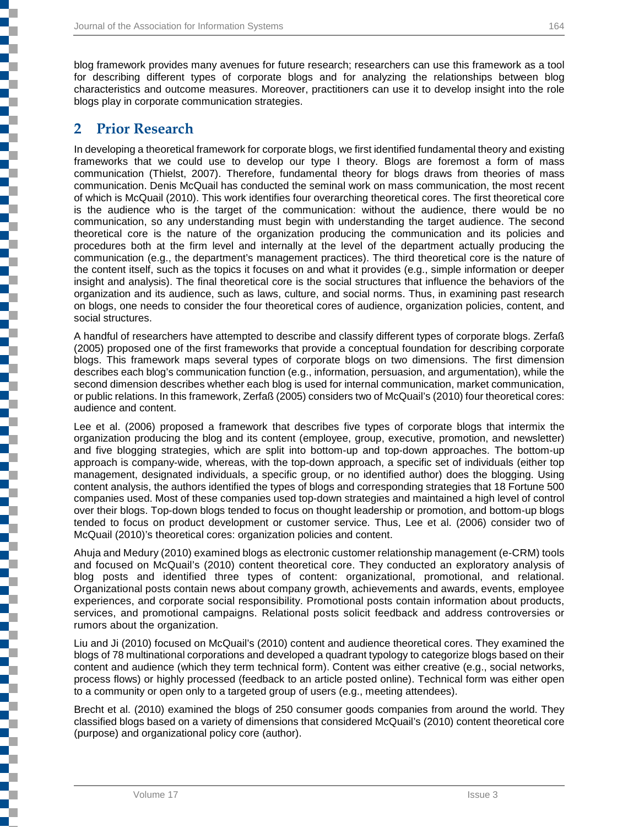blog framework provides many avenues for future research; researchers can use this framework as a tool for describing different types of corporate blogs and for analyzing the relationships between blog characteristics and outcome measures. Moreover, practitioners can use it to develop insight into the role blogs play in corporate communication strategies.

## **2 Prior Research**

j

į

┇

**.**<br>.

In developing a theoretical framework for corporate blogs, we first identified fundamental theory and existing frameworks that we could use to develop our type I theory. Blogs are foremost a form of mass communication (Thielst, 2007). Therefore, fundamental theory for blogs draws from theories of mass communication. Denis McQuail has conducted the seminal work on mass communication, the most recent of which is McQuail (2010). This work identifies four overarching theoretical cores. The first theoretical core is the audience who is the target of the communication: without the audience, there would be no communication, so any understanding must begin with understanding the target audience. The second theoretical core is the nature of the organization producing the communication and its policies and procedures both at the firm level and internally at the level of the department actually producing the communication (e.g., the department's management practices). The third theoretical core is the nature of the content itself, such as the topics it focuses on and what it provides (e.g., simple information or deeper insight and analysis). The final theoretical core is the social structures that influence the behaviors of the organization and its audience, such as laws, culture, and social norms. Thus, in examining past research on blogs, one needs to consider the four theoretical cores of audience, organization policies, content, and social structures.

A handful of researchers have attempted to describe and classify different types of corporate blogs. Zerfaß (2005) proposed one of the first frameworks that provide a conceptual foundation for describing corporate blogs. This framework maps several types of corporate blogs on two dimensions. The first dimension describes each blog's communication function (e.g., information, persuasion, and argumentation), while the second dimension describes whether each blog is used for internal communication, market communication, or public relations. In this framework, Zerfaß (2005) considers two of McQuail's (2010) four theoretical cores: audience and content.

Lee et al. (2006) proposed a framework that describes five types of corporate blogs that intermix the organization producing the blog and its content (employee, group, executive, promotion, and newsletter) and five blogging strategies, which are split into bottom-up and top-down approaches. The bottom-up approach is company-wide, whereas, with the top-down approach, a specific set of individuals (either top management, designated individuals, a specific group, or no identified author) does the blogging. Using content analysis, the authors identified the types of blogs and corresponding strategies that 18 Fortune 500 companies used. Most of these companies used top-down strategies and maintained a high level of control over their blogs. Top-down blogs tended to focus on thought leadership or promotion, and bottom-up blogs tended to focus on product development or customer service. Thus, Lee et al. (2006) consider two of McQuail (2010)'s theoretical cores: organization policies and content.

Ahuja and Medury (2010) examined blogs as electronic customer relationship management (e-CRM) tools and focused on McQuail's (2010) content theoretical core. They conducted an exploratory analysis of blog posts and identified three types of content: organizational, promotional, and relational. Organizational posts contain news about company growth, achievements and awards, events, employee experiences, and corporate social responsibility. Promotional posts contain information about products, services, and promotional campaigns. Relational posts solicit feedback and address controversies or rumors about the organization.

Liu and Ji (2010) focused on McQuail's (2010) content and audience theoretical cores. They examined the blogs of 78 multinational corporations and developed a quadrant typology to categorize blogs based on their content and audience (which they term technical form). Content was either creative (e.g., social networks, process flows) or highly processed (feedback to an article posted online). Technical form was either open to a community or open only to a targeted group of users (e.g., meeting attendees).

Brecht et al. (2010) examined the blogs of 250 consumer goods companies from around the world. They classified blogs based on a variety of dimensions that considered McQuail's (2010) content theoretical core (purpose) and organizational policy core (author).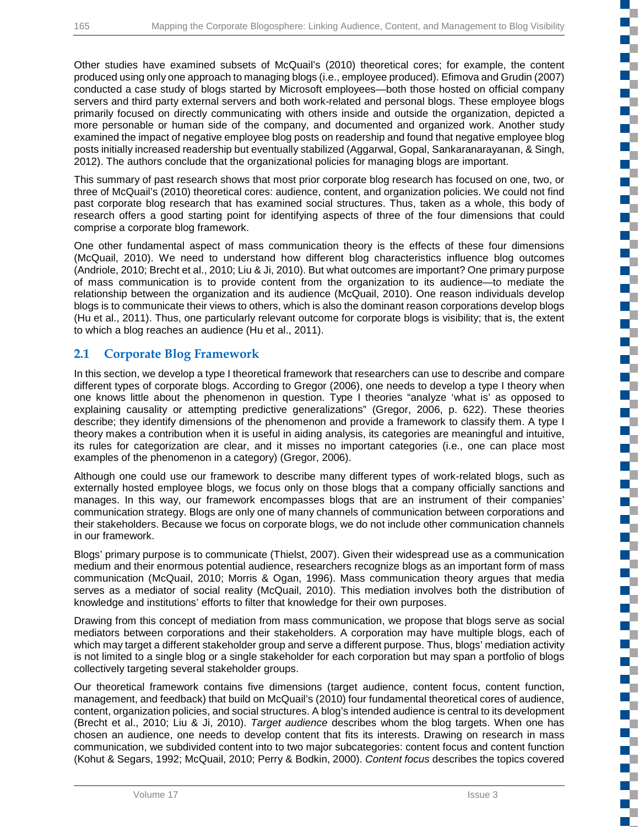**The Co**  $\mathbb{R}^{\mathbb{Z}}$ T с C

**TELEVISION** S.

ď.

r.

T

Œ

₹

n T T

ď,

n.

Œ Ű. EĒ.

Other studies have examined subsets of McQuail's (2010) theoretical cores; for example, the content produced using only one approach to managing blogs (i.e., employee produced). Efimova and Grudin (2007) conducted a case study of blogs started by Microsoft employees—both those hosted on official company servers and third party external servers and both work-related and personal blogs. These employee blogs primarily focused on directly communicating with others inside and outside the organization, depicted a more personable or human side of the company, and documented and organized work. Another study examined the impact of negative employee blog posts on readership and found that negative employee blog posts initially increased readership but eventually stabilized (Aggarwal, Gopal, Sankaranarayanan, & Singh, 2012). The authors conclude that the organizational policies for managing blogs are important.

This summary of past research shows that most prior corporate blog research has focused on one, two, or three of McQuail's (2010) theoretical cores: audience, content, and organization policies. We could not find past corporate blog research that has examined social structures. Thus, taken as a whole, this body of research offers a good starting point for identifying aspects of three of the four dimensions that could comprise a corporate blog framework.

One other fundamental aspect of mass communication theory is the effects of these four dimensions (McQuail, 2010). We need to understand how different blog characteristics influence blog outcomes (Andriole, 2010; Brecht et al., 2010; Liu & Ji, 2010). But what outcomes are important? One primary purpose of mass communication is to provide content from the organization to its audience—to mediate the relationship between the organization and its audience (McQuail, 2010). One reason individuals develop blogs is to communicate their views to others, which is also the dominant reason corporations develop blogs (Hu et al., 2011). Thus, one particularly relevant outcome for corporate blogs is visibility; that is, the extent to which a blog reaches an audience (Hu et al., 2011).

## **2.1 Corporate Blog Framework**

In this section, we develop a type I theoretical framework that researchers can use to describe and compare different types of corporate blogs. According to Gregor (2006), one needs to develop a type I theory when one knows little about the phenomenon in question. Type I theories "analyze 'what is' as opposed to explaining causality or attempting predictive generalizations" (Gregor, 2006, p. 622). These theories describe; they identify dimensions of the phenomenon and provide a framework to classify them. A type I theory makes a contribution when it is useful in aiding analysis, its categories are meaningful and intuitive, its rules for categorization are clear, and it misses no important categories (i.e., one can place most examples of the phenomenon in a category) (Gregor, 2006).

Although one could use our framework to describe many different types of work-related blogs, such as externally hosted employee blogs, we focus only on those blogs that a company officially sanctions and manages. In this way, our framework encompasses blogs that are an instrument of their companies' communication strategy. Blogs are only one of many channels of communication between corporations and their stakeholders. Because we focus on corporate blogs, we do not include other communication channels in our framework.

Blogs' primary purpose is to communicate (Thielst, 2007). Given their widespread use as a communication medium and their enormous potential audience, researchers recognize blogs as an important form of mass communication (McQuail, 2010; Morris & Ogan, 1996). Mass communication theory argues that media serves as a mediator of social reality (McQuail, 2010). This mediation involves both the distribution of knowledge and institutions' efforts to filter that knowledge for their own purposes.

Drawing from this concept of mediation from mass communication, we propose that blogs serve as social mediators between corporations and their stakeholders. A corporation may have multiple blogs, each of which may target a different stakeholder group and serve a different purpose. Thus, blogs' mediation activity is not limited to a single blog or a single stakeholder for each corporation but may span a portfolio of blogs collectively targeting several stakeholder groups.

Our theoretical framework contains five dimensions (target audience, content focus, content function, management, and feedback) that build on McQuail's (2010) four fundamental theoretical cores of audience, content, organization policies, and social structures. A blog's intended audience is central to its development (Brecht et al., 2010; Liu & Ji, 2010). *Target audience* describes whom the blog targets. When one has chosen an audience, one needs to develop content that fits its interests. Drawing on research in mass communication, we subdivided content into to two major subcategories: content focus and content function (Kohut & Segars, 1992; McQuail, 2010; Perry & Bodkin, 2000). *Content focus* describes the topics covered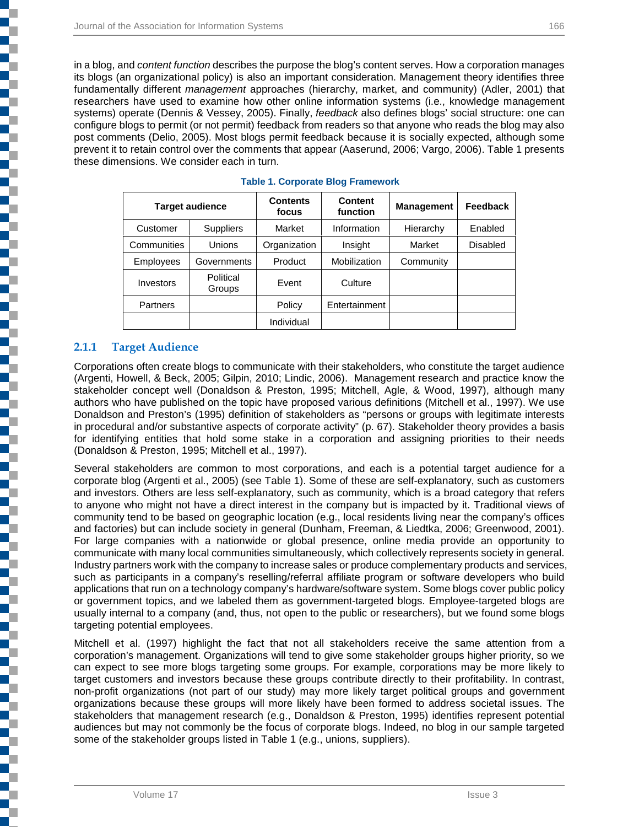in a blog, and *content function* describes the purpose the blog's content serves. How a corporation manages its blogs (an organizational policy) is also an important consideration. Management theory identifies three fundamentally different *management* approaches (hierarchy, market, and community) (Adler, 2001) that researchers have used to examine how other online information systems (i.e., knowledge management systems) operate (Dennis & Vessey, 2005). Finally, *feedback* also defines blogs' social structure: one can configure blogs to permit (or not permit) feedback from readers so that anyone who reads the blog may also post comments (Delio, 2005). Most blogs permit feedback because it is socially expected, although some prevent it to retain control over the comments that appear (Aaserund, 2006; Vargo, 2006). Table 1 presents these dimensions. We consider each in turn.

| <b>Target audience</b> |                     | <b>Contents</b><br>focus | <b>Content</b><br>function | <b>Management</b> | Feedback        |
|------------------------|---------------------|--------------------------|----------------------------|-------------------|-----------------|
| Customer               | <b>Suppliers</b>    | Market                   | Information                | Hierarchy         | Enabled         |
| Communities            | Unions              | Organization             | Insight                    | Market            | <b>Disabled</b> |
| <b>Employees</b>       | Governments         | Product                  | Mobilization               | Community         |                 |
| Investors              | Political<br>Groups | Event                    | Culture                    |                   |                 |
| Partners               |                     | Policy                   | Entertainment              |                   |                 |
|                        |                     | Individual               |                            |                   |                 |

#### **Table 1. Corporate Blog Framework**

#### **2.1.1 Target Audience**

┇

▏

l

┇

Corporations often create blogs to communicate with their stakeholders, who constitute the target audience (Argenti, Howell, & Beck, 2005; Gilpin, 2010; Lindic, 2006). Management research and practice know the stakeholder concept well (Donaldson & Preston, 1995; Mitchell, Agle, & Wood, 1997), although many authors who have published on the topic have proposed various definitions (Mitchell et al., 1997). We use Donaldson and Preston's (1995) definition of stakeholders as "persons or groups with legitimate interests in procedural and/or substantive aspects of corporate activity" (p. 67). Stakeholder theory provides a basis for identifying entities that hold some stake in a corporation and assigning priorities to their needs (Donaldson & Preston, 1995; Mitchell et al., 1997).

Several stakeholders are common to most corporations, and each is a potential target audience for a corporate blog (Argenti et al., 2005) (see Table 1). Some of these are self-explanatory, such as customers and investors. Others are less self-explanatory, such as community, which is a broad category that refers to anyone who might not have a direct interest in the company but is impacted by it. Traditional views of community tend to be based on geographic location (e.g., local residents living near the company's offices and factories) but can include society in general (Dunham, Freeman, & Liedtka, 2006; Greenwood, 2001). For large companies with a nationwide or global presence, online media provide an opportunity to communicate with many local communities simultaneously, which collectively represents society in general. Industry partners work with the company to increase sales or produce complementary products and services, such as participants in a company's reselling/referral affiliate program or software developers who build applications that run on a technology company's hardware/software system. Some blogs cover public policy or government topics, and we labeled them as government-targeted blogs. Employee-targeted blogs are usually internal to a company (and, thus, not open to the public or researchers), but we found some blogs targeting potential employees.

Mitchell et al. (1997) highlight the fact that not all stakeholders receive the same attention from a corporation's management. Organizations will tend to give some stakeholder groups higher priority, so we can expect to see more blogs targeting some groups. For example, corporations may be more likely to target customers and investors because these groups contribute directly to their profitability. In contrast, non-profit organizations (not part of our study) may more likely target political groups and government organizations because these groups will more likely have been formed to address societal issues. The stakeholders that management research (e.g., Donaldson & Preston, 1995) identifies represent potential audiences but may not commonly be the focus of corporate blogs. Indeed, no blog in our sample targeted some of the stakeholder groups listed in Table 1 (e.g., unions, suppliers).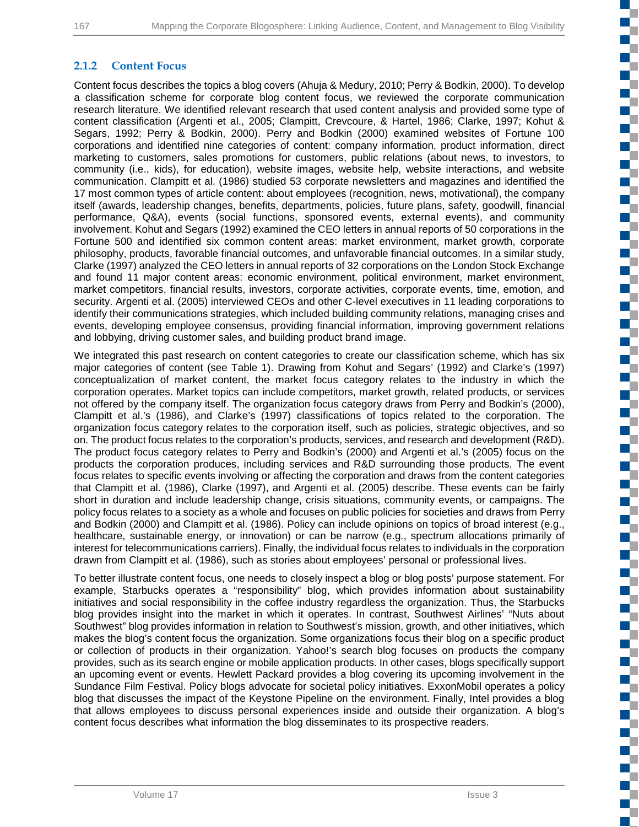n T

T Г H.

T.

EĒ.

T

a T

C

a.

**The Co** 

C,

### **2.1.2 Content Focus**

Content focus describes the topics a blog covers (Ahuja & Medury, 2010; Perry & Bodkin, 2000). To develop a classification scheme for corporate blog content focus, we reviewed the corporate communication research literature. We identified relevant research that used content analysis and provided some type of content classification (Argenti et al., 2005; Clampitt, Crevcoure, & Hartel, 1986; Clarke, 1997; Kohut & Segars, 1992; Perry & Bodkin, 2000). Perry and Bodkin (2000) examined websites of Fortune 100 corporations and identified nine categories of content: company information, product information, direct marketing to customers, sales promotions for customers, public relations (about news, to investors, to community (i.e., kids), for education), website images, website help, website interactions, and website communication. Clampitt et al. (1986) studied 53 corporate newsletters and magazines and identified the 17 most common types of article content: about employees (recognition, news, motivational), the company itself (awards, leadership changes, benefits, departments, policies, future plans, safety, goodwill, financial performance, Q&A), events (social functions, sponsored events, external events), and community involvement. Kohut and Segars (1992) examined the CEO letters in annual reports of 50 corporations in the Fortune 500 and identified six common content areas: market environment, market growth, corporate philosophy, products, favorable financial outcomes, and unfavorable financial outcomes. In a similar study, Clarke (1997) analyzed the CEO letters in annual reports of 32 corporations on the London Stock Exchange and found 11 major content areas: economic environment, political environment, market environment, market competitors, financial results, investors, corporate activities, corporate events, time, emotion, and security. Argenti et al. (2005) interviewed CEOs and other C-level executives in 11 leading corporations to identify their communications strategies, which included building community relations, managing crises and events, developing employee consensus, providing financial information, improving government relations and lobbying, driving customer sales, and building product brand image.

We integrated this past research on content categories to create our classification scheme, which has six major categories of content (see Table 1). Drawing from Kohut and Segars' (1992) and Clarke's (1997) conceptualization of market content, the market focus category relates to the industry in which the corporation operates. Market topics can include competitors, market growth, related products, or services not offered by the company itself. The organization focus category draws from Perry and Bodkin's (2000), Clampitt et al.'s (1986), and Clarke's (1997) classifications of topics related to the corporation. The organization focus category relates to the corporation itself, such as policies, strategic objectives, and so on. The product focus relates to the corporation's products, services, and research and development (R&D). The product focus category relates to Perry and Bodkin's (2000) and Argenti et al.'s (2005) focus on the products the corporation produces, including services and R&D surrounding those products. The event focus relates to specific events involving or affecting the corporation and draws from the content categories that Clampitt et al. (1986), Clarke (1997), and Argenti et al. (2005) describe. These events can be fairly short in duration and include leadership change, crisis situations, community events, or campaigns. The policy focus relates to a society as a whole and focuses on public policies for societies and draws from Perry and Bodkin (2000) and Clampitt et al. (1986). Policy can include opinions on topics of broad interest (e.g., healthcare, sustainable energy, or innovation) or can be narrow (e.g., spectrum allocations primarily of interest for telecommunications carriers). Finally, the individual focus relates to individuals in the corporation drawn from Clampitt et al. (1986), such as stories about employees' personal or professional lives.

To better illustrate content focus, one needs to closely inspect a blog or blog posts' purpose statement. For example, Starbucks operates a "responsibility" blog, which provides information about sustainability initiatives and social responsibility in the coffee industry regardless the organization. Thus, the Starbucks blog provides insight into the market in which it operates. In contrast, Southwest Airlines' "Nuts about Southwest" blog provides information in relation to Southwest's mission, growth, and other initiatives, which makes the blog's content focus the organization. Some organizations focus their blog on a specific product or collection of products in their organization. Yahoo!'s search blog focuses on products the company provides, such as its search engine or mobile application products. In other cases, blogs specifically support an upcoming event or events. Hewlett Packard provides a blog covering its upcoming involvement in the Sundance Film Festival. Policy blogs advocate for societal policy initiatives. ExxonMobil operates a policy blog that discusses the impact of the Keystone Pipeline on the environment. Finally, Intel provides a blog that allows employees to discuss personal experiences inside and outside their organization. A blog's content focus describes what information the blog disseminates to its prospective readers.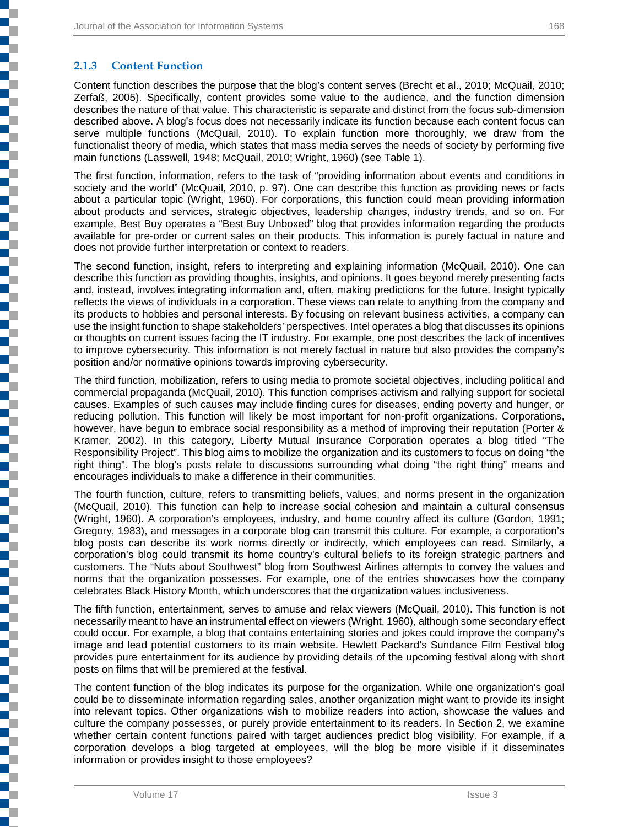### **2.1.3 Content Function**

Content function describes the purpose that the blog's content serves (Brecht et al., 2010; McQuail, 2010; Zerfaß, 2005). Specifically, content provides some value to the audience, and the function dimension describes the nature of that value. This characteristic is separate and distinct from the focus sub-dimension described above. A blog's focus does not necessarily indicate its function because each content focus can serve multiple functions (McQuail, 2010). To explain function more thoroughly, we draw from the functionalist theory of media, which states that mass media serves the needs of society by performing five main functions (Lasswell, 1948; McQuail, 2010; Wright, 1960) (see Table 1).

The first function, information, refers to the task of "providing information about events and conditions in society and the world" (McQuail, 2010, p. 97). One can describe this function as providing news or facts about a particular topic (Wright, 1960). For corporations, this function could mean providing information about products and services, strategic objectives, leadership changes, industry trends, and so on. For example, Best Buy operates a "Best Buy Unboxed" blog that provides information regarding the products available for pre-order or current sales on their products. This information is purely factual in nature and does not provide further interpretation or context to readers.

The second function, insight, refers to interpreting and explaining information (McQuail, 2010). One can describe this function as providing thoughts, insights, and opinions. It goes beyond merely presenting facts and, instead, involves integrating information and, often, making predictions for the future. Insight typically reflects the views of individuals in a corporation. These views can relate to anything from the company and its products to hobbies and personal interests. By focusing on relevant business activities, a company can use the insight function to shape stakeholders' perspectives. Intel operates a blog that discusses its opinions or thoughts on current issues facing the IT industry. For example, one post describes the lack of incentives to improve cybersecurity. This information is not merely factual in nature but also provides the company's position and/or normative opinions towards improving cybersecurity.

The third function, mobilization, refers to using media to promote societal objectives, including political and commercial propaganda (McQuail, 2010). This function comprises activism and rallying support for societal causes. Examples of such causes may include finding cures for diseases, ending poverty and hunger, or reducing pollution. This function will likely be most important for non-profit organizations. Corporations, however, have begun to embrace social responsibility as a method of improving their reputation (Porter & Kramer, 2002). In this category, Liberty Mutual Insurance Corporation operates a blog titled "The Responsibility Project". This blog aims to mobilize the organization and its customers to focus on doing "the right thing". The blog's posts relate to discussions surrounding what doing "the right thing" means and encourages individuals to make a difference in their communities.

The fourth function, culture, refers to transmitting beliefs, values, and norms present in the organization (McQuail, 2010). This function can help to increase social cohesion and maintain a cultural consensus (Wright, 1960). A corporation's employees, industry, and home country affect its culture (Gordon, 1991; Gregory, 1983), and messages in a corporate blog can transmit this culture. For example, a corporation's blog posts can describe its work norms directly or indirectly, which employees can read. Similarly, a corporation's blog could transmit its home country's cultural beliefs to its foreign strategic partners and customers. The "Nuts about Southwest" blog from Southwest Airlines attempts to convey the values and norms that the organization possesses. For example, one of the entries showcases how the company celebrates Black History Month, which underscores that the organization values inclusiveness.

The fifth function, entertainment, serves to amuse and relax viewers (McQuail, 2010). This function is not necessarily meant to have an instrumental effect on viewers (Wright, 1960), although some secondary effect could occur. For example, a blog that contains entertaining stories and jokes could improve the company's image and lead potential customers to its main website. Hewlett Packard's Sundance Film Festival blog provides pure entertainment for its audience by providing details of the upcoming festival along with short posts on films that will be premiered at the festival.

The content function of the blog indicates its purpose for the organization. While one organization's goal could be to disseminate information regarding sales, another organization might want to provide its insight into relevant topics. Other organizations wish to mobilize readers into action, showcase the values and culture the company possesses, or purely provide entertainment to its readers. In Section 2, we examine whether certain content functions paired with target audiences predict blog visibility. For example, if a corporation develops a blog targeted at employees, will the blog be more visible if it disseminates information or provides insight to those employees?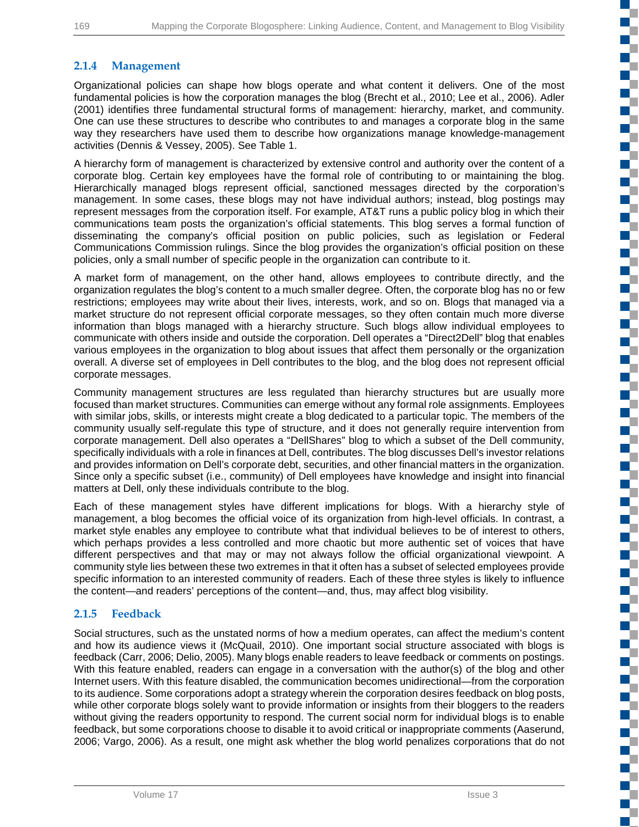**The Co**  $\mathbb{R}^{\mathbb{Z}}$ T f. ₹

> a pr T

Œ

EĒ. T.

n.

 $\Box$ 

E.

C ī.

 $\mathcal{L}_{\mathcal{A}}$ n. n T r. C, FĒ

### **2.1.4 Management**

Organizational policies can shape how blogs operate and what content it delivers. One of the most fundamental policies is how the corporation manages the blog (Brecht et al., 2010; Lee et al., 2006). Adler (2001) identifies three fundamental structural forms of management: hierarchy, market, and community. One can use these structures to describe who contributes to and manages a corporate blog in the same way they researchers have used them to describe how organizations manage knowledge-management activities (Dennis & Vessey, 2005). See Table 1.

A hierarchy form of management is characterized by extensive control and authority over the content of a corporate blog. Certain key employees have the formal role of contributing to or maintaining the blog. Hierarchically managed blogs represent official, sanctioned messages directed by the corporation's management. In some cases, these blogs may not have individual authors; instead, blog postings may represent messages from the corporation itself. For example, AT&T runs a public policy blog in which their communications team posts the organization's official statements. This blog serves a formal function of disseminating the company's official position on public policies, such as legislation or Federal Communications Commission rulings. Since the blog provides the organization's official position on these policies, only a small number of specific people in the organization can contribute to it.

A market form of management, on the other hand, allows employees to contribute directly, and the organization regulates the blog's content to a much smaller degree. Often, the corporate blog has no or few restrictions; employees may write about their lives, interests, work, and so on. Blogs that managed via a market structure do not represent official corporate messages, so they often contain much more diverse information than blogs managed with a hierarchy structure. Such blogs allow individual employees to communicate with others inside and outside the corporation. Dell operates a "Direct2Dell" blog that enables various employees in the organization to blog about issues that affect them personally or the organization overall. A diverse set of employees in Dell contributes to the blog, and the blog does not represent official corporate messages.

Community management structures are less regulated than hierarchy structures but are usually more focused than market structures. Communities can emerge without any formal role assignments. Employees with similar jobs, skills, or interests might create a blog dedicated to a particular topic. The members of the community usually self-regulate this type of structure, and it does not generally require intervention from corporate management. Dell also operates a "DellShares" blog to which a subset of the Dell community, specifically individuals with a role in finances at Dell, contributes. The blog discusses Dell's investor relations and provides information on Dell's corporate debt, securities, and other financial matters in the organization. Since only a specific subset (i.e., community) of Dell employees have knowledge and insight into financial matters at Dell, only these individuals contribute to the blog.

Each of these management styles have different implications for blogs. With a hierarchy style of management, a blog becomes the official voice of its organization from high-level officials. In contrast, a market style enables any employee to contribute what that individual believes to be of interest to others, which perhaps provides a less controlled and more chaotic but more authentic set of voices that have different perspectives and that may or may not always follow the official organizational viewpoint. A community style lies between these two extremes in that it often has a subset of selected employees provide specific information to an interested community of readers. Each of these three styles is likely to influence the content—and readers' perceptions of the content—and, thus, may affect blog visibility.

### **2.1.5 Feedback**

Social structures, such as the unstated norms of how a medium operates, can affect the medium's content and how its audience views it (McQuail, 2010). One important social structure associated with blogs is feedback (Carr, 2006; Delio, 2005). Many blogs enable readers to leave feedback or comments on postings. With this feature enabled, readers can engage in a conversation with the author(s) of the blog and other Internet users. With this feature disabled, the communication becomes unidirectional—from the corporation to its audience. Some corporations adopt a strategy wherein the corporation desires feedback on blog posts, while other corporate blogs solely want to provide information or insights from their bloggers to the readers without giving the readers opportunity to respond. The current social norm for individual blogs is to enable feedback, but some corporations choose to disable it to avoid critical or inappropriate comments (Aaserund, 2006; Vargo, 2006). As a result, one might ask whether the blog world penalizes corporations that do not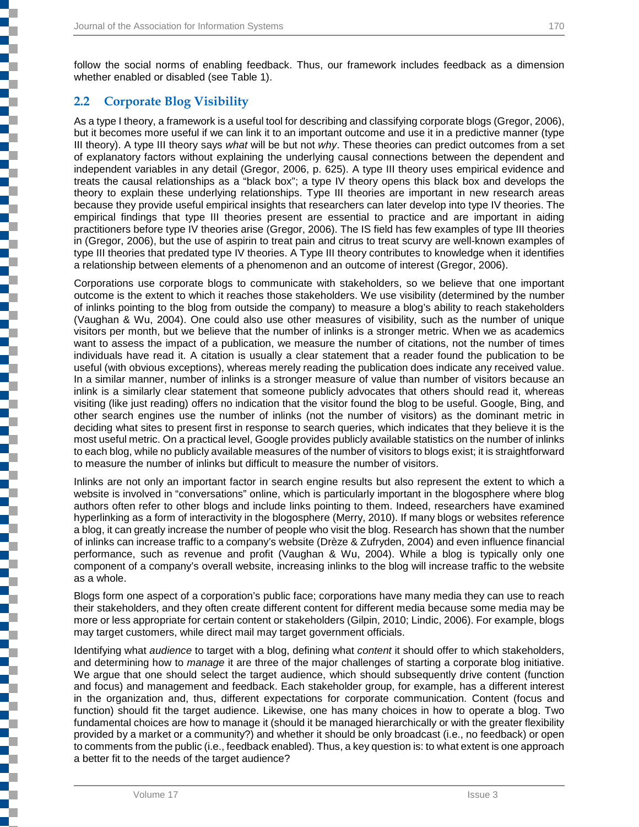### **2.2 Corporate Blog Visibility**

As a type I theory, a framework is a useful tool for describing and classifying corporate blogs (Gregor, 2006), but it becomes more useful if we can link it to an important outcome and use it in a predictive manner (type III theory). A type III theory says *what* will be but not *why*. These theories can predict outcomes from a set of explanatory factors without explaining the underlying causal connections between the dependent and independent variables in any detail (Gregor, 2006, p. 625). A type III theory uses empirical evidence and treats the causal relationships as a "black box"; a type IV theory opens this black box and develops the theory to explain these underlying relationships. Type III theories are important in new research areas because they provide useful empirical insights that researchers can later develop into type IV theories. The empirical findings that type III theories present are essential to practice and are important in aiding practitioners before type IV theories arise (Gregor, 2006). The IS field has few examples of type III theories in (Gregor, 2006), but the use of aspirin to treat pain and citrus to treat scurvy are well-known examples of type III theories that predated type IV theories. A Type III theory contributes to knowledge when it identifies a relationship between elements of a phenomenon and an outcome of interest (Gregor, 2006).

Corporations use corporate blogs to communicate with stakeholders, so we believe that one important outcome is the extent to which it reaches those stakeholders. We use visibility (determined by the number of inlinks pointing to the blog from outside the company) to measure a blog's ability to reach stakeholders (Vaughan & Wu, 2004). One could also use other measures of visibility, such as the number of unique visitors per month, but we believe that the number of inlinks is a stronger metric. When we as academics want to assess the impact of a publication, we measure the number of citations, not the number of times individuals have read it. A citation is usually a clear statement that a reader found the publication to be useful (with obvious exceptions), whereas merely reading the publication does indicate any received value. In a similar manner, number of inlinks is a stronger measure of value than number of visitors because an inlink is a similarly clear statement that someone publicly advocates that others should read it, whereas visiting (like just reading) offers no indication that the visitor found the blog to be useful. Google, Bing, and other search engines use the number of inlinks (not the number of visitors) as the dominant metric in deciding what sites to present first in response to search queries, which indicates that they believe it is the most useful metric. On a practical level, Google provides publicly available statistics on the number of inlinks to each blog, while no publicly available measures of the number of visitors to blogs exist; it is straightforward to measure the number of inlinks but difficult to measure the number of visitors.

Inlinks are not only an important factor in search engine results but also represent the extent to which a website is involved in "conversations" online, which is particularly important in the blogosphere where blog authors often refer to other blogs and include links pointing to them. Indeed, researchers have examined hyperlinking as a form of interactivity in the blogosphere (Merry, 2010). If many blogs or websites reference a blog, it can greatly increase the number of people who visit the blog. Research has shown that the number of inlinks can increase traffic to a company's website (Drèze & Zufryden, 2004) and even influence financial performance, such as revenue and profit (Vaughan & Wu, 2004). While a blog is typically only one component of a company's overall website, increasing inlinks to the blog will increase traffic to the website as a whole.

Blogs form one aspect of a corporation's public face; corporations have many media they can use to reach their stakeholders, and they often create different content for different media because some media may be more or less appropriate for certain content or stakeholders (Gilpin, 2010; Lindic, 2006). For example, blogs may target customers, while direct mail may target government officials.

Identifying what *audience* to target with a blog, defining what *content* it should offer to which stakeholders, and determining how to *manage* it are three of the major challenges of starting a corporate blog initiative. We argue that one should select the target audience, which should subsequently drive content (function and focus) and management and feedback. Each stakeholder group, for example, has a different interest in the organization and, thus, different expectations for corporate communication. Content (focus and function) should fit the target audience. Likewise, one has many choices in how to operate a blog. Two fundamental choices are how to manage it (should it be managed hierarchically or with the greater flexibility provided by a market or a community?) and whether it should be only broadcast (i.e., no feedback) or open to comments from the public (i.e., feedback enabled). Thus, a key question is: to what extent is one approach a better fit to the needs of the target audience?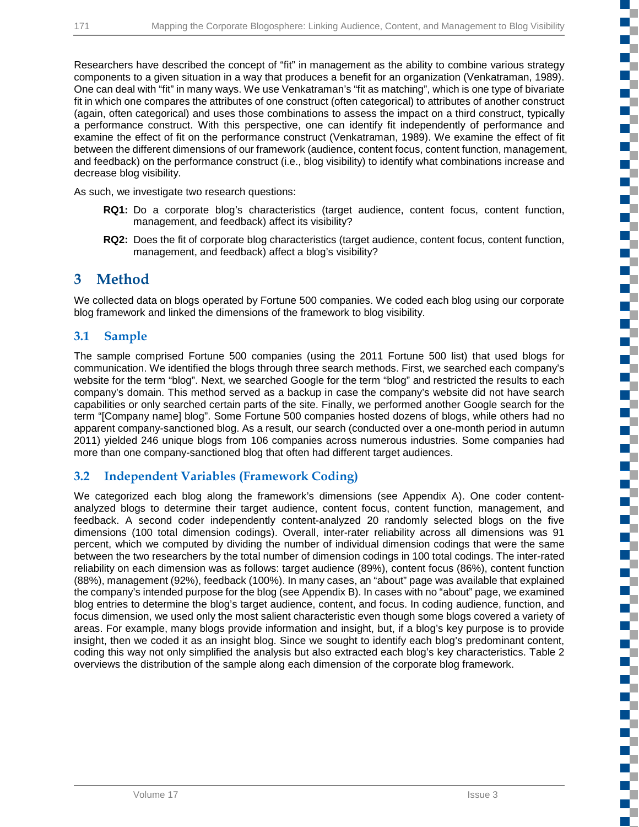n T

T C E.

a pr ç. c ď,

2

c

c

S

ŧ

T. ď,

r. т

ď.

E.

E. c

Researchers have described the concept of "fit" in management as the ability to combine various strategy components to a given situation in a way that produces a benefit for an organization (Venkatraman, 1989). One can deal with "fit" in many ways. We use Venkatraman's "fit as matching", which is one type of bivariate fit in which one compares the attributes of one construct (often categorical) to attributes of another construct (again, often categorical) and uses those combinations to assess the impact on a third construct, typically a performance construct. With this perspective, one can identify fit independently of performance and examine the effect of fit on the performance construct (Venkatraman, 1989). We examine the effect of fit between the different dimensions of our framework (audience, content focus, content function, management, and feedback) on the performance construct (i.e., blog visibility) to identify what combinations increase and decrease blog visibility.

As such, we investigate two research questions:

- **RQ1:** Do a corporate blog's characteristics (target audience, content focus, content function, management, and feedback) affect its visibility?
- **RQ2:** Does the fit of corporate blog characteristics (target audience, content focus, content function, management, and feedback) affect a blog's visibility?

## **3 Method**

We collected data on blogs operated by Fortune 500 companies. We coded each blog using our corporate blog framework and linked the dimensions of the framework to blog visibility.

### **3.1 Sample**

The sample comprised Fortune 500 companies (using the 2011 Fortune 500 list) that used blogs for communication. We identified the blogs through three search methods. First, we searched each company's website for the term "blog". Next, we searched Google for the term "blog" and restricted the results to each company's domain. This method served as a backup in case the company's website did not have search capabilities or only searched certain parts of the site. Finally, we performed another Google search for the term "[Company name] blog". Some Fortune 500 companies hosted dozens of blogs, while others had no apparent company-sanctioned blog. As a result, our search (conducted over a one-month period in autumn 2011) yielded 246 unique blogs from 106 companies across numerous industries. Some companies had more than one company-sanctioned blog that often had different target audiences.

## **3.2 Independent Variables (Framework Coding)**

We categorized each blog along the framework's dimensions (see Appendix A). One coder contentanalyzed blogs to determine their target audience, content focus, content function, management, and feedback. A second coder independently content-analyzed 20 randomly selected blogs on the five dimensions (100 total dimension codings). Overall, inter-rater reliability across all dimensions was 91 percent, which we computed by dividing the number of individual dimension codings that were the same between the two researchers by the total number of dimension codings in 100 total codings. The inter-rated reliability on each dimension was as follows: target audience (89%), content focus (86%), content function (88%), management (92%), feedback (100%). In many cases, an "about" page was available that explained the company's intended purpose for the blog (see Appendix B). In cases with no "about" page, we examined blog entries to determine the blog's target audience, content, and focus. In coding audience, function, and focus dimension, we used only the most salient characteristic even though some blogs covered a variety of areas. For example, many blogs provide information and insight, but, if a blog's key purpose is to provide insight, then we coded it as an insight blog. Since we sought to identify each blog's predominant content, coding this way not only simplified the analysis but also extracted each blog's key characteristics. Table 2 overviews the distribution of the sample along each dimension of the corporate blog framework.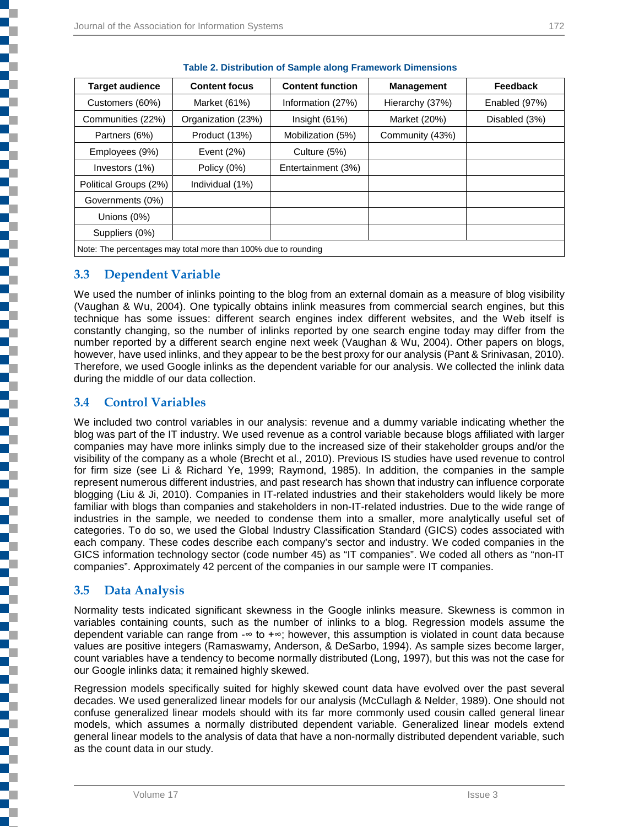| <b>Target audience</b>                                         | <b>Content focus</b> | <b>Content function</b> | <b>Management</b> | Feedback      |
|----------------------------------------------------------------|----------------------|-------------------------|-------------------|---------------|
| Customers (60%)                                                | Market (61%)         | Information (27%)       | Hierarchy (37%)   | Enabled (97%) |
| Communities (22%)                                              | Organization (23%)   | Insight(61%)            | Market (20%)      | Disabled (3%) |
| Partners (6%)                                                  | Product (13%)        | Mobilization (5%)       | Community (43%)   |               |
| Employees (9%)                                                 | Event $(2%)$         | Culture (5%)            |                   |               |
| Investors (1%)                                                 | Policy (0%)          | Entertainment (3%)      |                   |               |
| Political Groups (2%)                                          | Individual (1%)      |                         |                   |               |
| Governments (0%)                                               |                      |                         |                   |               |
| Unions $(0%)$                                                  |                      |                         |                   |               |
| Suppliers (0%)                                                 |                      |                         |                   |               |
| Note: The percentages may total more than 100% due to rounding |                      |                         |                   |               |

|  |  | <b>Table 2. Distribution of Sample along Framework Dimensions</b> |
|--|--|-------------------------------------------------------------------|
|--|--|-------------------------------------------------------------------|

#### **3.3 Dependent Variable**

We used the number of inlinks pointing to the blog from an external domain as a measure of blog visibility (Vaughan & Wu, 2004). One typically obtains inlink measures from commercial search engines, but this technique has some issues: different search engines index different websites, and the Web itself is constantly changing, so the number of inlinks reported by one search engine today may differ from the number reported by a different search engine next week (Vaughan & Wu, 2004). Other papers on blogs, however, have used inlinks, and they appear to be the best proxy for our analysis (Pant & Srinivasan, 2010). Therefore, we used Google inlinks as the dependent variable for our analysis. We collected the inlink data during the middle of our data collection.

### **3.4 Control Variables**

We included two control variables in our analysis: revenue and a dummy variable indicating whether the blog was part of the IT industry. We used revenue as a control variable because blogs affiliated with larger companies may have more inlinks simply due to the increased size of their stakeholder groups and/or the visibility of the company as a whole (Brecht et al., 2010). Previous IS studies have used revenue to control for firm size (see Li & Richard Ye, 1999; Raymond, 1985). In addition, the companies in the sample represent numerous different industries, and past research has shown that industry can influence corporate blogging (Liu & Ji, 2010). Companies in IT-related industries and their stakeholders would likely be more familiar with blogs than companies and stakeholders in non-IT-related industries. Due to the wide range of industries in the sample, we needed to condense them into a smaller, more analytically useful set of categories. To do so, we used the Global Industry Classification Standard (GICS) codes associated with each company. These codes describe each company's sector and industry. We coded companies in the GICS information technology sector (code number 45) as "IT companies". We coded all others as "non-IT companies". Approximately 42 percent of the companies in our sample were IT companies.

### **3.5 Data Analysis**

Normality tests indicated significant skewness in the Google inlinks measure. Skewness is common in variables containing counts, such as the number of inlinks to a blog. Regression models assume the dependent variable can range from -∞ to +∞; however, this assumption is violated in count data because values are positive integers (Ramaswamy, Anderson, & DeSarbo, 1994). As sample sizes become larger, count variables have a tendency to become normally distributed (Long, 1997), but this was not the case for our Google inlinks data; it remained highly skewed.

Regression models specifically suited for highly skewed count data have evolved over the past several decades. We used generalized linear models for our analysis (McCullagh & Nelder, 1989). One should not confuse generalized linear models should with its far more commonly used cousin called general linear models, which assumes a normally distributed dependent variable. Generalized linear models extend general linear models to the analysis of data that have a non-normally distributed dependent variable, such as the count data in our study.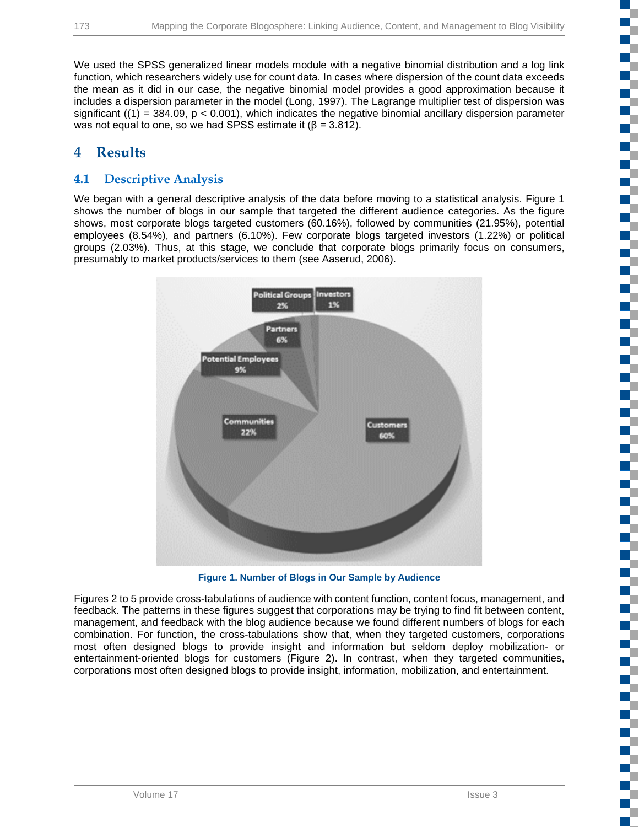We used the SPSS generalized linear models module with a negative binomial distribution and a log link function, which researchers widely use for count data. In cases where dispersion of the count data exceeds the mean as it did in our case, the negative binomial model provides a good approximation because it includes a dispersion parameter in the model (Long, 1997). The Lagrange multiplier test of dispersion was significant  $((1) = 384.09, p < 0.001)$ , which indicates the negative binomial ancillary dispersion parameter was not equal to one, so we had SPSS estimate it ( $\beta$  = 3.812).

## **4 Results**

## **4.1 Descriptive Analysis**

We began with a general descriptive analysis of the data before moving to a statistical analysis. Figure 1 shows the number of blogs in our sample that targeted the different audience categories. As the figure shows, most corporate blogs targeted customers (60.16%), followed by communities (21.95%), potential employees (8.54%), and partners (6.10%). Few corporate blogs targeted investors (1.22%) or political groups (2.03%). Thus, at this stage, we conclude that corporate blogs primarily focus on consumers, presumably to market products/services to them (see Aaserud, 2006).



**Figure 1. Number of Blogs in Our Sample by Audience**

Figures 2 to 5 provide cross-tabulations of audience with content function, content focus, management, and feedback. The patterns in these figures suggest that corporations may be trying to find fit between content, management, and feedback with the blog audience because we found different numbers of blogs for each combination. For function, the cross-tabulations show that, when they targeted customers, corporations most often designed blogs to provide insight and information but seldom deploy mobilization- or entertainment-oriented blogs for customers (Figure 2). In contrast, when they targeted communities, corporations most often designed blogs to provide insight, information, mobilization, and entertainment.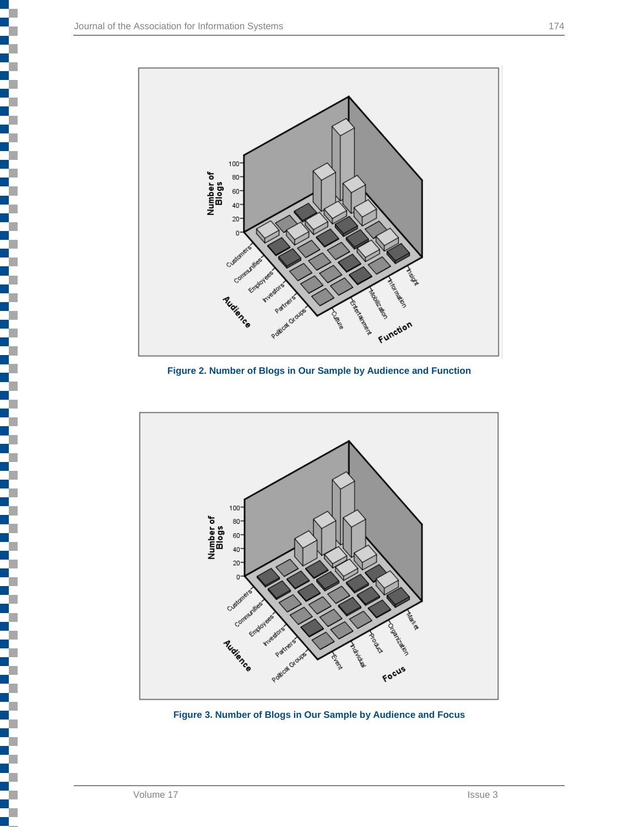

**Figure 2. Number of Blogs in Our Sample by Audience and Function**



**Figure 3. Number of Blogs in Our Sample by Audience and Focus**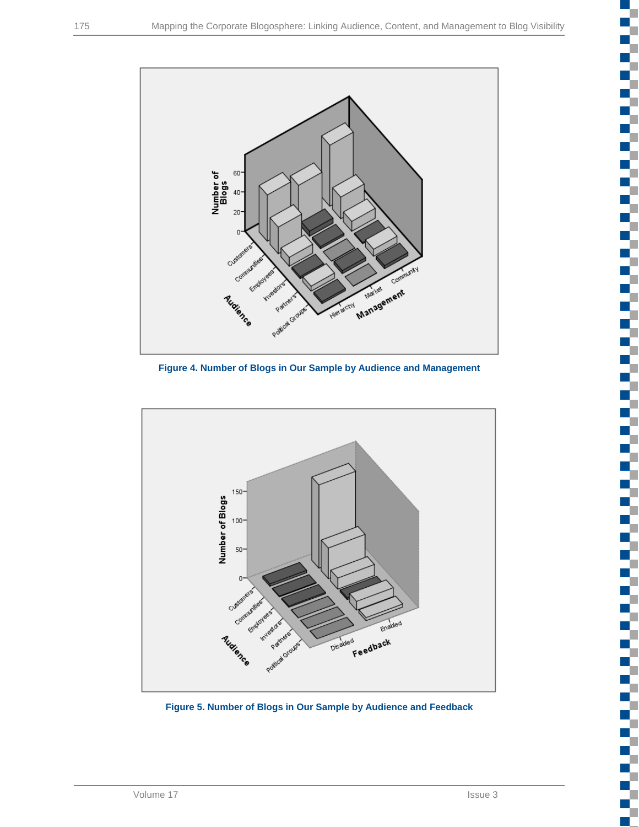$\mathcal{A}$ a pr  $\overline{\phantom{a}}$ 

H.

m.

a,

H.

г r

H.

c C Œ ٠



**Figure 4. Number of Blogs in Our Sample by Audience and Management**



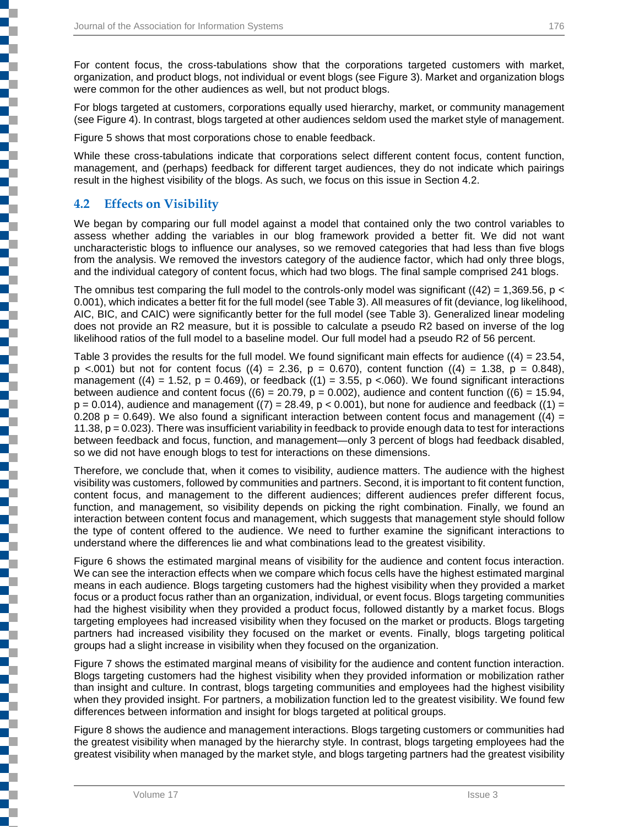For content focus, the cross-tabulations show that the corporations targeted customers with market, organization, and product blogs, not individual or event blogs (see Figure 3). Market and organization blogs were common for the other audiences as well, but not product blogs.

For blogs targeted at customers, corporations equally used hierarchy, market, or community management (see Figure 4). In contrast, blogs targeted at other audiences seldom used the market style of management.

Figure 5 shows that most corporations chose to enable feedback.

While these cross-tabulations indicate that corporations select different content focus, content function, management, and (perhaps) feedback for different target audiences, they do not indicate which pairings result in the highest visibility of the blogs. As such, we focus on this issue in Section 4.2.

### **4.2 Effects on Visibility**

į

j

j

**Contract of the contract of the contract** 

We began by comparing our full model against a model that contained only the two control variables to assess whether adding the variables in our blog framework provided a better fit. We did not want uncharacteristic blogs to influence our analyses, so we removed categories that had less than five blogs from the analysis. We removed the investors category of the audience factor, which had only three blogs, and the individual category of content focus, which had two blogs. The final sample comprised 241 blogs.

The omnibus test comparing the full model to the controls-only model was significant ( $(42) = 1,369.56$ , p < 0.001), which indicates a better fit for the full model (see Table 3). All measures of fit (deviance, log likelihood, AIC, BIC, and CAIC) were significantly better for the full model (see Table 3). Generalized linear modeling does not provide an R2 measure, but it is possible to calculate a pseudo R2 based on inverse of the log likelihood ratios of the full model to a baseline model. Our full model had a pseudo R2 of 56 percent.

Table 3 provides the results for the full model. We found significant main effects for audience  $((4) = 23.54,$ p <.001) but not for content focus ((4) = 2.36, p = 0.670), content function ((4) = 1.38, p = 0.848), management ((4) = 1.52, p = 0.469), or feedback ((1) = 3.55, p < 060). We found significant interactions between audience and content focus ( $(6) = 20.79$ ,  $p = 0.002$ ), audience and content function ( $(6) = 15.94$ ,  $p = 0.014$ ), audience and management ((7) = 28.49, p < 0.001), but none for audience and feedback ((1) = 0.208  $p = 0.649$ ). We also found a significant interaction between content focus and management ((4) = 11.38,  $p = 0.023$ ). There was insufficient variability in feedback to provide enough data to test for interactions between feedback and focus, function, and management—only 3 percent of blogs had feedback disabled, so we did not have enough blogs to test for interactions on these dimensions.

Therefore, we conclude that, when it comes to visibility, audience matters. The audience with the highest visibility was customers, followed by communities and partners. Second, it is important to fit content function, content focus, and management to the different audiences; different audiences prefer different focus, function, and management, so visibility depends on picking the right combination. Finally, we found an interaction between content focus and management, which suggests that management style should follow the type of content offered to the audience. We need to further examine the significant interactions to understand where the differences lie and what combinations lead to the greatest visibility.

Figure 6 shows the estimated marginal means of visibility for the audience and content focus interaction. We can see the interaction effects when we compare which focus cells have the highest estimated marginal means in each audience. Blogs targeting customers had the highest visibility when they provided a market focus or a product focus rather than an organization, individual, or event focus. Blogs targeting communities had the highest visibility when they provided a product focus, followed distantly by a market focus. Blogs targeting employees had increased visibility when they focused on the market or products. Blogs targeting partners had increased visibility they focused on the market or events. Finally, blogs targeting political groups had a slight increase in visibility when they focused on the organization.

Figure 7 shows the estimated marginal means of visibility for the audience and content function interaction. Blogs targeting customers had the highest visibility when they provided information or mobilization rather than insight and culture. In contrast, blogs targeting communities and employees had the highest visibility when they provided insight. For partners, a mobilization function led to the greatest visibility. We found few differences between information and insight for blogs targeted at political groups.

Figure 8 shows the audience and management interactions. Blogs targeting customers or communities had the greatest visibility when managed by the hierarchy style. In contrast, blogs targeting employees had the greatest visibility when managed by the market style, and blogs targeting partners had the greatest visibility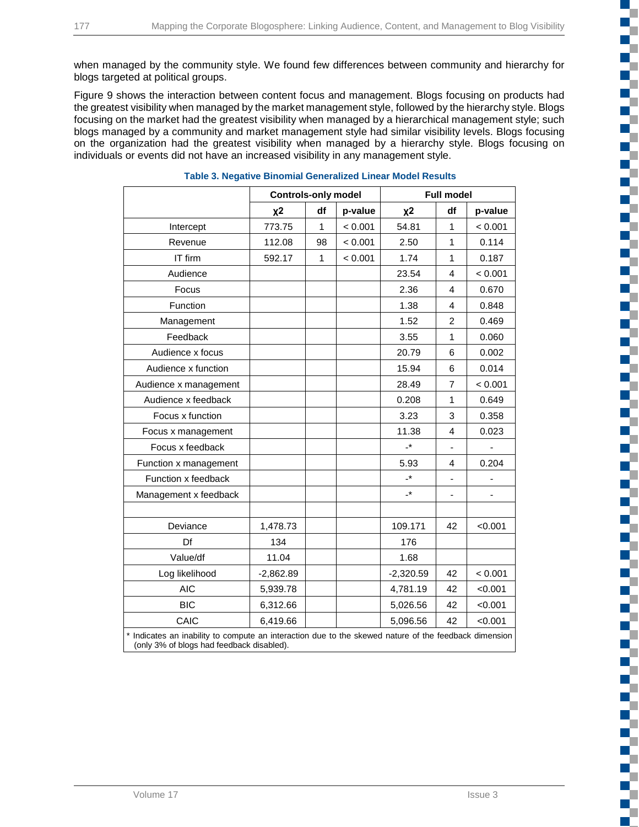when managed by the community style. We found few differences between community and hierarchy for blogs targeted at political groups.

Figure 9 shows the interaction between content focus and management. Blogs focusing on products had the greatest visibility when managed by the market management style, followed by the hierarchy style. Blogs focusing on the market had the greatest visibility when managed by a hierarchical management style; such blogs managed by a community and market management style had similar visibility levels. Blogs focusing on the organization had the greatest visibility when managed by a hierarchy style. Blogs focusing on individuals or events did not have an increased visibility in any management style.

|                                                                                                                                                    | <b>Controls-only model</b> |    | <b>Full model</b> |                      |                |         |
|----------------------------------------------------------------------------------------------------------------------------------------------------|----------------------------|----|-------------------|----------------------|----------------|---------|
|                                                                                                                                                    | $x^2$                      | df | p-value           | $x^2$                | df             | p-value |
| Intercept                                                                                                                                          | 773.75                     | 1  | < 0.001           | 54.81                | $\mathbf{1}$   | < 0.001 |
| Revenue                                                                                                                                            | 112.08                     | 98 | < 0.001           | 2.50                 | $\mathbf{1}$   | 0.114   |
| IT firm                                                                                                                                            | 592.17                     | 1  | < 0.001           | 1.74                 | 1              | 0.187   |
| Audience                                                                                                                                           |                            |    |                   | 23.54                | 4              | < 0.001 |
| Focus                                                                                                                                              |                            |    |                   | 2.36                 | 4              | 0.670   |
| Function                                                                                                                                           |                            |    |                   | 1.38                 | 4              | 0.848   |
| Management                                                                                                                                         |                            |    |                   | 1.52                 | $\overline{2}$ | 0.469   |
| Feedback                                                                                                                                           |                            |    |                   | 3.55                 | $\mathbf{1}$   | 0.060   |
| Audience x focus                                                                                                                                   |                            |    |                   | 20.79                | 6              | 0.002   |
| Audience x function                                                                                                                                |                            |    |                   | 15.94                | 6              | 0.014   |
| Audience x management                                                                                                                              |                            |    |                   | 28.49                | $\overline{7}$ | < 0.001 |
| Audience x feedback                                                                                                                                |                            |    |                   | 0.208                | 1              | 0.649   |
| Focus x function                                                                                                                                   |                            |    |                   | 3.23                 | 3              | 0.358   |
| Focus x management                                                                                                                                 |                            |    |                   | 11.38                | 4              | 0.023   |
| Focus x feedback                                                                                                                                   |                            |    |                   | $\cdot^*$            |                |         |
| Function x management                                                                                                                              |                            |    |                   | 5.93                 | 4              | 0.204   |
| Function x feedback                                                                                                                                |                            |    |                   | $\cdot^{\star}$      |                |         |
| Management x feedback                                                                                                                              |                            |    |                   | $\mathbf{L}^{\star}$ |                |         |
| Deviance                                                                                                                                           | 1,478.73                   |    |                   | 109.171              | 42             | < 0.001 |
| Df                                                                                                                                                 | 134                        |    |                   | 176                  |                |         |
| Value/df                                                                                                                                           | 11.04                      |    |                   | 1.68                 |                |         |
|                                                                                                                                                    |                            |    |                   |                      | 42             |         |
| Log likelihood                                                                                                                                     | $-2,862.89$                |    |                   | $-2,320.59$          |                | < 0.001 |
| <b>AIC</b>                                                                                                                                         | 5,939.78                   |    |                   | 4,781.19             | 42             | < 0.001 |
| <b>BIC</b>                                                                                                                                         | 6,312.66                   |    |                   | 5,026.56             | 42             | < 0.001 |
| CAIC                                                                                                                                               | 6,419.66                   |    |                   | 5,096.56             | 42             | < 0.001 |
| * Indicates an inability to compute an interaction due to the skewed nature of the feedback dimension<br>(only 3% of blogs had feedback disabled). |                            |    |                   |                      |                |         |

#### **Table 3. Negative Binomial Generalized Linear Model Results**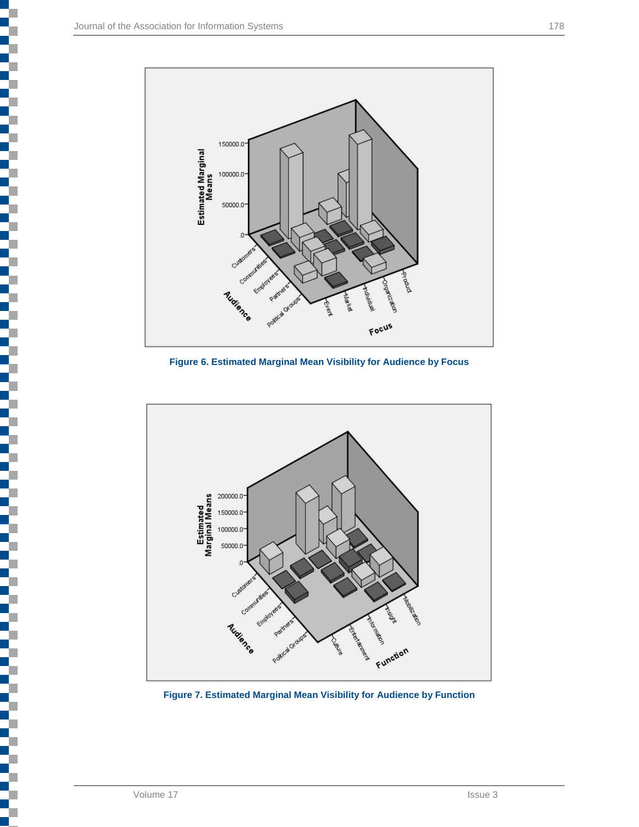

**Figure 6. Estimated Marginal Mean Visibility for Audience by Focus**



**Figure 7. Estimated Marginal Mean Visibility for Audience by Function**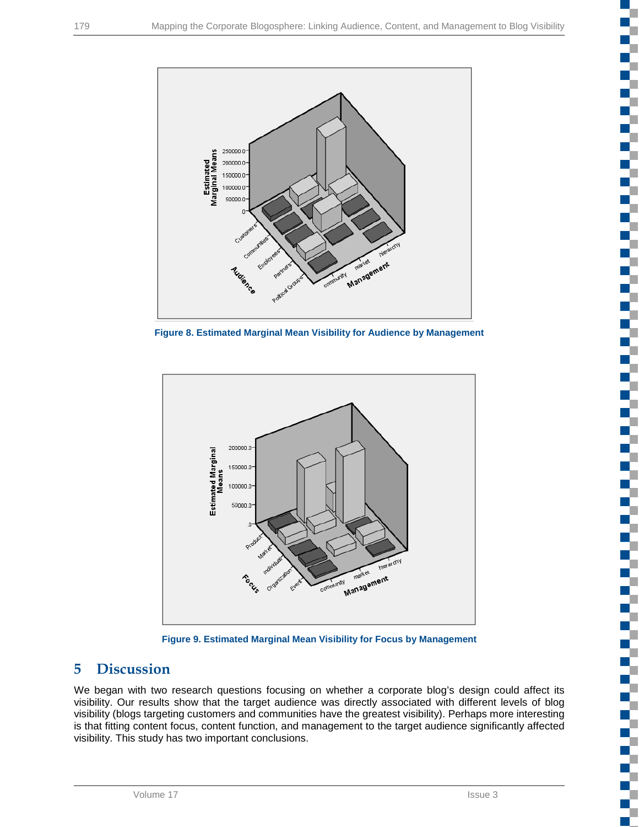

**Figure 8. Estimated Marginal Mean Visibility for Audience by Management**



**Figure 9. Estimated Marginal Mean Visibility for Focus by Management**

# **5 Discussion**

We began with two research questions focusing on whether a corporate blog's design could affect its visibility. Our results show that the target audience was directly associated with different levels of blog visibility (blogs targeting customers and communities have the greatest visibility). Perhaps more interesting is that fitting content focus, content function, and management to the target audience significantly affected visibility. This study has two important conclusions.

с T

a pro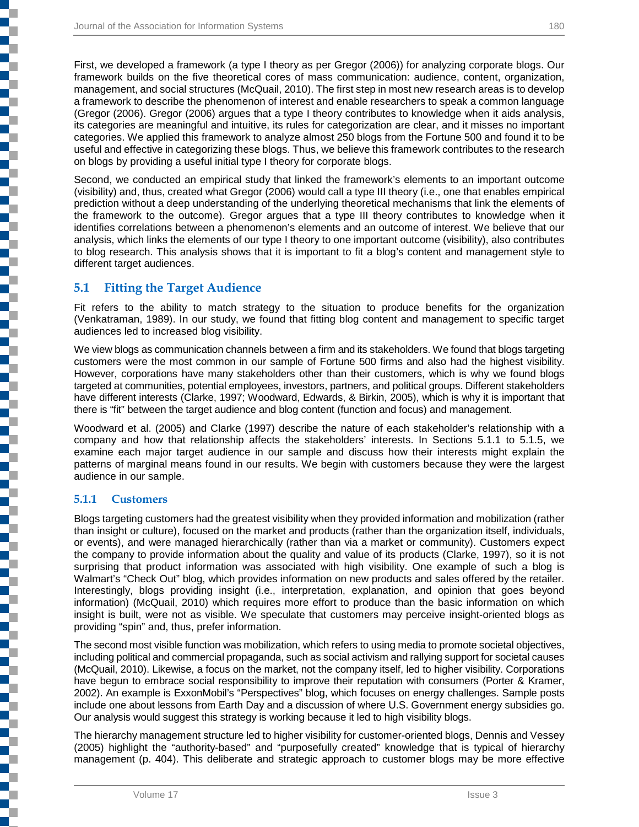First, we developed a framework (a type I theory as per Gregor (2006)) for analyzing corporate blogs. Our framework builds on the five theoretical cores of mass communication: audience, content, organization, management, and social structures (McQuail, 2010). The first step in most new research areas is to develop a framework to describe the phenomenon of interest and enable researchers to speak a common language (Gregor (2006). Gregor (2006) argues that a type I theory contributes to knowledge when it aids analysis, its categories are meaningful and intuitive, its rules for categorization are clear, and it misses no important categories. We applied this framework to analyze almost 250 blogs from the Fortune 500 and found it to be useful and effective in categorizing these blogs. Thus, we believe this framework contributes to the research on blogs by providing a useful initial type I theory for corporate blogs.

Second, we conducted an empirical study that linked the framework's elements to an important outcome (visibility) and, thus, created what Gregor (2006) would call a type III theory (i.e., one that enables empirical prediction without a deep understanding of the underlying theoretical mechanisms that link the elements of the framework to the outcome). Gregor argues that a type III theory contributes to knowledge when it identifies correlations between a phenomenon's elements and an outcome of interest. We believe that our analysis, which links the elements of our type I theory to one important outcome (visibility), also contributes to blog research. This analysis shows that it is important to fit a blog's content and management style to different target audiences.

#### **5.1 Fitting the Target Audience**

Fit refers to the ability to match strategy to the situation to produce benefits for the organization (Venkatraman, 1989). In our study, we found that fitting blog content and management to specific target audiences led to increased blog visibility.

We view blogs as communication channels between a firm and its stakeholders. We found that blogs targeting customers were the most common in our sample of Fortune 500 firms and also had the highest visibility. However, corporations have many stakeholders other than their customers, which is why we found blogs targeted at communities, potential employees, investors, partners, and political groups. Different stakeholders have different interests (Clarke, 1997; Woodward, Edwards, & Birkin, 2005), which is why it is important that there is "fit" between the target audience and blog content (function and focus) and management.

Woodward et al. (2005) and Clarke (1997) describe the nature of each stakeholder's relationship with a company and how that relationship affects the stakeholders' interests. In Sections 5.1.1 to 5.1.5, we examine each major target audience in our sample and discuss how their interests might explain the patterns of marginal means found in our results. We begin with customers because they were the largest audience in our sample.

#### **5.1.1 Customers**

j

j

**Contract of the contract of the contract** 

Blogs targeting customers had the greatest visibility when they provided information and mobilization (rather than insight or culture), focused on the market and products (rather than the organization itself, individuals, or events), and were managed hierarchically (rather than via a market or community). Customers expect the company to provide information about the quality and value of its products (Clarke, 1997), so it is not surprising that product information was associated with high visibility. One example of such a blog is Walmart's "Check Out" blog, which provides information on new products and sales offered by the retailer. Interestingly, blogs providing insight (i.e., interpretation, explanation, and opinion that goes beyond information) (McQuail, 2010) which requires more effort to produce than the basic information on which insight is built, were not as visible. We speculate that customers may perceive insight-oriented blogs as providing "spin" and, thus, prefer information.

The second most visible function was mobilization, which refers to using media to promote societal objectives, including political and commercial propaganda, such as social activism and rallying support for societal causes (McQuail, 2010). Likewise, a focus on the market, not the company itself, led to higher visibility. Corporations have begun to embrace social responsibility to improve their reputation with consumers (Porter & Kramer, 2002). An example is ExxonMobil's "Perspectives" blog, which focuses on energy challenges. Sample posts include one about lessons from Earth Day and a discussion of where U.S. Government energy subsidies go. Our analysis would suggest this strategy is working because it led to high visibility blogs.

The hierarchy management structure led to higher visibility for customer-oriented blogs, Dennis and Vessey (2005) highlight the "authority-based" and "purposefully created" knowledge that is typical of hierarchy management (p. 404). This deliberate and strategic approach to customer blogs may be more effective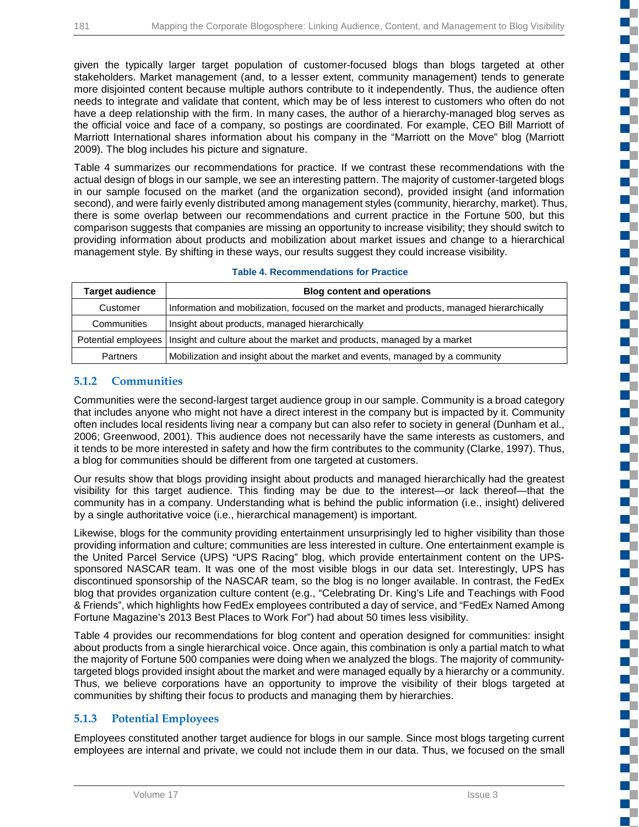given the typically larger target population of customer-focused blogs than blogs targeted at other stakeholders. Market management (and, to a lesser extent, community management) tends to generate more disjointed content because multiple authors contribute to it independently. Thus, the audience often needs to integrate and validate that content, which may be of less interest to customers who often do not have a deep relationship with the firm. In many cases, the author of a hierarchy-managed blog serves as the official voice and face of a company, so postings are coordinated. For example, CEO Bill Marriott of Marriott International shares information about his company in the "Marriott on the Move" blog (Marriott 2009). The blog includes his picture and signature.

Table 4 summarizes our recommendations for practice. If we contrast these recommendations with the actual design of blogs in our sample, we see an interesting pattern. The majority of customer-targeted blogs in our sample focused on the market (and the organization second), provided insight (and information second), and were fairly evenly distributed among management styles (community, hierarchy, market). Thus, there is some overlap between our recommendations and current practice in the Fortune 500, but this comparison suggests that companies are missing an opportunity to increase visibility; they should switch to providing information about products and mobilization about market issues and change to a hierarchical management style. By shifting in these ways, our results suggest they could increase visibility.

| <b>Target audience</b> | <b>Blog content and operations</b>                                                           |
|------------------------|----------------------------------------------------------------------------------------------|
| Customer               | Information and mobilization, focused on the market and products, managed hierarchically     |
| Communities            | Insight about products, managed hierarchically                                               |
|                        | Potential employees   Insight and culture about the market and products, managed by a market |
| <b>Partners</b>        | Mobilization and insight about the market and events, managed by a community                 |

#### **Table 4. Recommendations for Practice**

#### **5.1.2 Communities**

Communities were the second-largest target audience group in our sample. Community is a broad category that includes anyone who might not have a direct interest in the company but is impacted by it. Community often includes local residents living near a company but can also refer to society in general (Dunham et al., 2006; Greenwood, 2001). This audience does not necessarily have the same interests as customers, and it tends to be more interested in safety and how the firm contributes to the community (Clarke, 1997). Thus, a blog for communities should be different from one targeted at customers.

Our results show that blogs providing insight about products and managed hierarchically had the greatest visibility for this target audience. This finding may be due to the interest—or lack thereof—that the community has in a company. Understanding what is behind the public information (i.e., insight) delivered by a single authoritative voice (i.e., hierarchical management) is important.

Likewise, blogs for the community providing entertainment unsurprisingly led to higher visibility than those providing information and culture; communities are less interested in culture. One entertainment example is the United Parcel Service (UPS) "UPS Racing" blog, which provide entertainment content on the UPSsponsored NASCAR team. It was one of the most visible blogs in our data set. Interestingly, UPS has discontinued sponsorship of the NASCAR team, so the blog is no longer available. In contrast, the FedEx blog that provides organization culture content (e.g., "Celebrating Dr. King's Life and Teachings with Food & Friends", which highlights how FedEx employees contributed a day of service, and "FedEx Named Among Fortune Magazine's 2013 Best Places to Work For") had about 50 times less visibility.

Table 4 provides our recommendations for blog content and operation designed for communities: insight about products from a single hierarchical voice. Once again, this combination is only a partial match to what the majority of Fortune 500 companies were doing when we analyzed the blogs. The majority of communitytargeted blogs provided insight about the market and were managed equally by a hierarchy or a community. Thus, we believe corporations have an opportunity to improve the visibility of their blogs targeted at communities by shifting their focus to products and managing them by hierarchies.

### **5.1.3 Potential Employees**

Employees constituted another target audience for blogs in our sample. Since most blogs targeting current employees are internal and private, we could not include them in our data. Thus, we focused on the small Ű.

۳ ď,

E.

ď,

ď.

ď.

n. C, FĒ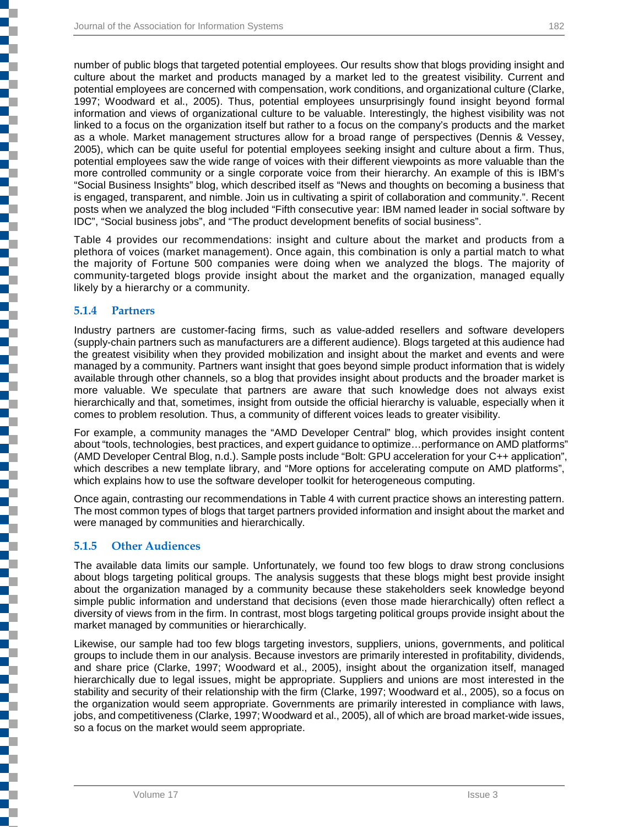number of public blogs that targeted potential employees. Our results show that blogs providing insight and culture about the market and products managed by a market led to the greatest visibility. Current and potential employees are concerned with compensation, work conditions, and organizational culture (Clarke, 1997; Woodward et al., 2005). Thus, potential employees unsurprisingly found insight beyond formal information and views of organizational culture to be valuable. Interestingly, the highest visibility was not linked to a focus on the organization itself but rather to a focus on the company's products and the market as a whole. Market management structures allow for a broad range of perspectives (Dennis & Vessey, 2005), which can be quite useful for potential employees seeking insight and culture about a firm. Thus, potential employees saw the wide range of voices with their different viewpoints as more valuable than the more controlled community or a single corporate voice from their hierarchy. An example of this is IBM's "Social Business Insights" blog, which described itself as "News and thoughts on becoming a business that is engaged, transparent, and nimble. Join us in cultivating a spirit of collaboration and community.". Recent posts when we analyzed the blog included "Fifth consecutive year: IBM named leader in social software by IDC", "Social business jobs", and "The product development benefits of social business".

Table 4 provides our recommendations: insight and culture about the market and products from a plethora of voices (market management). Once again, this combination is only a partial match to what the majority of Fortune 500 companies were doing when we analyzed the blogs. The majority of community-targeted blogs provide insight about the market and the organization, managed equally likely by a hierarchy or a community.

#### **5.1.4 Partners**

j

j

į

Industry partners are customer-facing firms, such as value-added resellers and software developers (supply-chain partners such as manufacturers are a different audience). Blogs targeted at this audience had the greatest visibility when they provided mobilization and insight about the market and events and were managed by a community. Partners want insight that goes beyond simple product information that is widely available through other channels, so a blog that provides insight about products and the broader market is more valuable. We speculate that partners are aware that such knowledge does not always exist hierarchically and that, sometimes, insight from outside the official hierarchy is valuable, especially when it comes to problem resolution. Thus, a community of different voices leads to greater visibility.

For example, a community manages the "AMD Developer Central" blog, which provides insight content about "tools, technologies, best practices, and expert guidance to optimize…performance on AMD platforms" (AMD Developer Central Blog, n.d.). Sample posts include "Bolt: GPU acceleration for your C++ application", which describes a new template library, and "More options for accelerating compute on AMD platforms", which explains how to use the software developer toolkit for heterogeneous computing.

Once again, contrasting our recommendations in Table 4 with current practice shows an interesting pattern. The most common types of blogs that target partners provided information and insight about the market and were managed by communities and hierarchically.

#### **5.1.5 Other Audiences**

The available data limits our sample. Unfortunately, we found too few blogs to draw strong conclusions about blogs targeting political groups. The analysis suggests that these blogs might best provide insight about the organization managed by a community because these stakeholders seek knowledge beyond simple public information and understand that decisions (even those made hierarchically) often reflect a diversity of views from in the firm. In contrast, most blogs targeting political groups provide insight about the market managed by communities or hierarchically.

Likewise, our sample had too few blogs targeting investors, suppliers, unions, governments, and political groups to include them in our analysis. Because investors are primarily interested in profitability, dividends, and share price (Clarke, 1997; Woodward et al., 2005), insight about the organization itself, managed hierarchically due to legal issues, might be appropriate. Suppliers and unions are most interested in the stability and security of their relationship with the firm (Clarke, 1997; Woodward et al., 2005), so a focus on the organization would seem appropriate. Governments are primarily interested in compliance with laws, jobs, and competitiveness (Clarke, 1997; Woodward et al., 2005), all of which are broad market-wide issues, so a focus on the market would seem appropriate.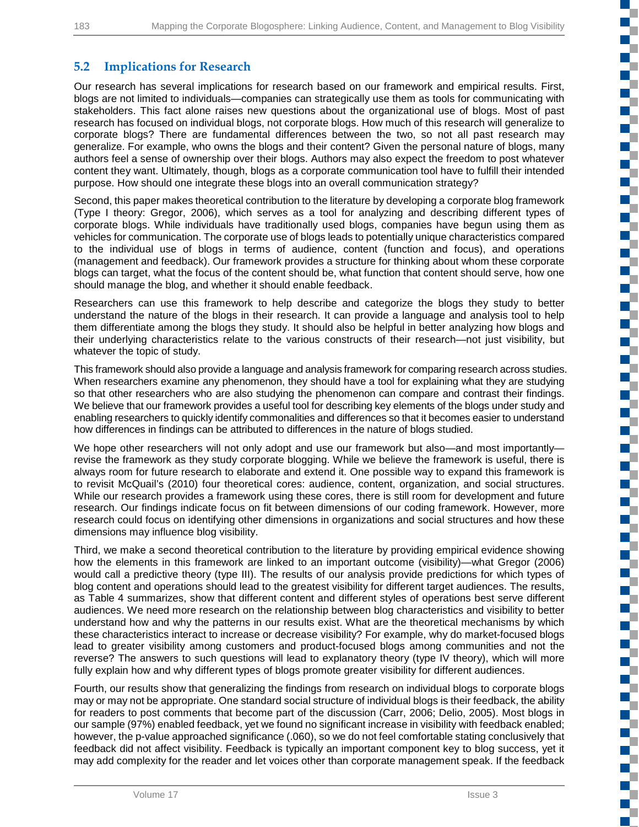f. ď.

Œ c ď,

 $\mathbb{R}^n$ Œ

n.

 $\mathbb{R}^n$ 

₹

ď,

a. Ű. T

## **5.2 Implications for Research**

Our research has several implications for research based on our framework and empirical results. First, blogs are not limited to individuals—companies can strategically use them as tools for communicating with stakeholders. This fact alone raises new questions about the organizational use of blogs. Most of past research has focused on individual blogs, not corporate blogs. How much of this research will generalize to corporate blogs? There are fundamental differences between the two, so not all past research may generalize. For example, who owns the blogs and their content? Given the personal nature of blogs, many authors feel a sense of ownership over their blogs. Authors may also expect the freedom to post whatever content they want. Ultimately, though, blogs as a corporate communication tool have to fulfill their intended purpose. How should one integrate these blogs into an overall communication strategy?

Second, this paper makes theoretical contribution to the literature by developing a corporate blog framework (Type I theory: Gregor, 2006), which serves as a tool for analyzing and describing different types of corporate blogs. While individuals have traditionally used blogs, companies have begun using them as vehicles for communication. The corporate use of blogs leads to potentially unique characteristics compared to the individual use of blogs in terms of audience, content (function and focus), and operations (management and feedback). Our framework provides a structure for thinking about whom these corporate blogs can target, what the focus of the content should be, what function that content should serve, how one should manage the blog, and whether it should enable feedback.

Researchers can use this framework to help describe and categorize the blogs they study to better understand the nature of the blogs in their research. It can provide a language and analysis tool to help them differentiate among the blogs they study. It should also be helpful in better analyzing how blogs and their underlying characteristics relate to the various constructs of their research—not just visibility, but whatever the topic of study.

This framework should also provide a language and analysis framework for comparing research across studies. When researchers examine any phenomenon, they should have a tool for explaining what they are studying so that other researchers who are also studying the phenomenon can compare and contrast their findings. We believe that our framework provides a useful tool for describing key elements of the blogs under study and enabling researchers to quickly identify commonalities and differences so that it becomes easier to understand how differences in findings can be attributed to differences in the nature of blogs studied.

We hope other researchers will not only adopt and use our framework but also—and most importantly revise the framework as they study corporate blogging. While we believe the framework is useful, there is always room for future research to elaborate and extend it. One possible way to expand this framework is to revisit McQuail's (2010) four theoretical cores: audience, content, organization, and social structures. While our research provides a framework using these cores, there is still room for development and future research. Our findings indicate focus on fit between dimensions of our coding framework. However, more research could focus on identifying other dimensions in organizations and social structures and how these dimensions may influence blog visibility.

Third, we make a second theoretical contribution to the literature by providing empirical evidence showing how the elements in this framework are linked to an important outcome (visibility)—what Gregor (2006) would call a predictive theory (type III). The results of our analysis provide predictions for which types of blog content and operations should lead to the greatest visibility for different target audiences. The results, as Table 4 summarizes, show that different content and different styles of operations best serve different audiences. We need more research on the relationship between blog characteristics and visibility to better understand how and why the patterns in our results exist. What are the theoretical mechanisms by which these characteristics interact to increase or decrease visibility? For example, why do market-focused blogs lead to greater visibility among customers and product-focused blogs among communities and not the reverse? The answers to such questions will lead to explanatory theory (type IV theory), which will more fully explain how and why different types of blogs promote greater visibility for different audiences.

Fourth, our results show that generalizing the findings from research on individual blogs to corporate blogs may or may not be appropriate. One standard social structure of individual blogs is their feedback, the ability for readers to post comments that become part of the discussion (Carr, 2006; Delio, 2005). Most blogs in our sample (97%) enabled feedback, yet we found no significant increase in visibility with feedback enabled; however, the p-value approached significance (.060), so we do not feel comfortable stating conclusively that feedback did not affect visibility. Feedback is typically an important component key to blog success, yet it may add complexity for the reader and let voices other than corporate management speak. If the feedback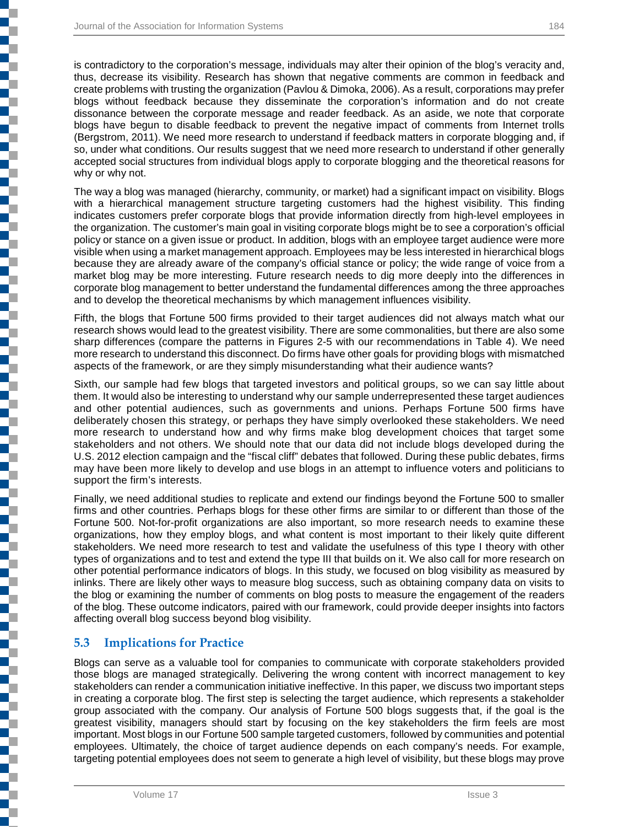j

┇

is contradictory to the corporation's message, individuals may alter their opinion of the blog's veracity and, thus, decrease its visibility. Research has shown that negative comments are common in feedback and create problems with trusting the organization (Pavlou & Dimoka, 2006). As a result, corporations may prefer blogs without feedback because they disseminate the corporation's information and do not create dissonance between the corporate message and reader feedback. As an aside, we note that corporate blogs have begun to disable feedback to prevent the negative impact of comments from Internet trolls (Bergstrom, 2011). We need more research to understand if feedback matters in corporate blogging and, if so, under what conditions. Our results suggest that we need more research to understand if other generally accepted social structures from individual blogs apply to corporate blogging and the theoretical reasons for why or why not.

The way a blog was managed (hierarchy, community, or market) had a significant impact on visibility. Blogs with a hierarchical management structure targeting customers had the highest visibility. This finding indicates customers prefer corporate blogs that provide information directly from high-level employees in the organization. The customer's main goal in visiting corporate blogs might be to see a corporation's official policy or stance on a given issue or product. In addition, blogs with an employee target audience were more visible when using a market management approach. Employees may be less interested in hierarchical blogs because they are already aware of the company's official stance or policy; the wide range of voice from a market blog may be more interesting. Future research needs to dig more deeply into the differences in corporate blog management to better understand the fundamental differences among the three approaches and to develop the theoretical mechanisms by which management influences visibility.

Fifth, the blogs that Fortune 500 firms provided to their target audiences did not always match what our research shows would lead to the greatest visibility. There are some commonalities, but there are also some sharp differences (compare the patterns in Figures 2-5 with our recommendations in Table 4). We need more research to understand this disconnect. Do firms have other goals for providing blogs with mismatched aspects of the framework, or are they simply misunderstanding what their audience wants?

Sixth, our sample had few blogs that targeted investors and political groups, so we can say little about them. It would also be interesting to understand why our sample underrepresented these target audiences and other potential audiences, such as governments and unions. Perhaps Fortune 500 firms have deliberately chosen this strategy, or perhaps they have simply overlooked these stakeholders. We need more research to understand how and why firms make blog development choices that target some stakeholders and not others. We should note that our data did not include blogs developed during the U.S. 2012 election campaign and the "fiscal cliff" debates that followed. During these public debates, firms may have been more likely to develop and use blogs in an attempt to influence voters and politicians to support the firm's interests.

Finally, we need additional studies to replicate and extend our findings beyond the Fortune 500 to smaller firms and other countries. Perhaps blogs for these other firms are similar to or different than those of the Fortune 500. Not-for-profit organizations are also important, so more research needs to examine these organizations, how they employ blogs, and what content is most important to their likely quite different stakeholders. We need more research to test and validate the usefulness of this type I theory with other types of organizations and to test and extend the type III that builds on it. We also call for more research on other potential performance indicators of blogs. In this study, we focused on blog visibility as measured by inlinks. There are likely other ways to measure blog success, such as obtaining company data on visits to the blog or examining the number of comments on blog posts to measure the engagement of the readers of the blog. These outcome indicators, paired with our framework, could provide deeper insights into factors affecting overall blog success beyond blog visibility.

### **5.3 Implications for Practice**

Blogs can serve as a valuable tool for companies to communicate with corporate stakeholders provided those blogs are managed strategically. Delivering the wrong content with incorrect management to key stakeholders can render a communication initiative ineffective. In this paper, we discuss two important steps in creating a corporate blog. The first step is selecting the target audience, which represents a stakeholder group associated with the company. Our analysis of Fortune 500 blogs suggests that, if the goal is the greatest visibility, managers should start by focusing on the key stakeholders the firm feels are most important. Most blogs in our Fortune 500 sample targeted customers, followed by communities and potential employees. Ultimately, the choice of target audience depends on each company's needs. For example, targeting potential employees does not seem to generate a high level of visibility, but these blogs may prove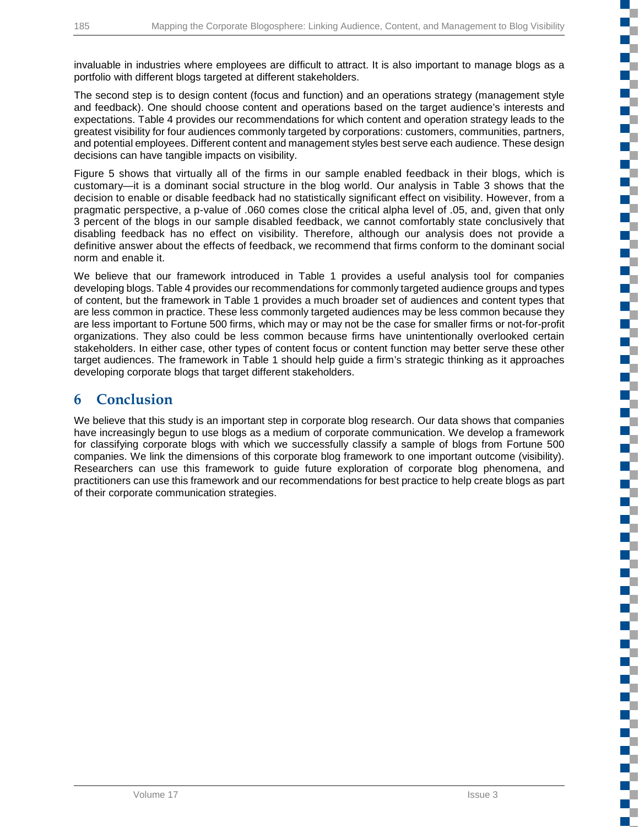T г Œ

T

Œ

▆▔ ÷

T.

E.

d,

r.

invaluable in industries where employees are difficult to attract. It is also important to manage blogs as a portfolio with different blogs targeted at different stakeholders.

The second step is to design content (focus and function) and an operations strategy (management style and feedback). One should choose content and operations based on the target audience's interests and expectations. Table 4 provides our recommendations for which content and operation strategy leads to the greatest visibility for four audiences commonly targeted by corporations: customers, communities, partners, and potential employees. Different content and management styles best serve each audience. These design decisions can have tangible impacts on visibility.

Figure 5 shows that virtually all of the firms in our sample enabled feedback in their blogs, which is customary—it is a dominant social structure in the blog world. Our analysis in Table 3 shows that the decision to enable or disable feedback had no statistically significant effect on visibility. However, from a pragmatic perspective, a p-value of .060 comes close the critical alpha level of .05, and, given that only 3 percent of the blogs in our sample disabled feedback, we cannot comfortably state conclusively that disabling feedback has no effect on visibility. Therefore, although our analysis does not provide a definitive answer about the effects of feedback, we recommend that firms conform to the dominant social norm and enable it.

We believe that our framework introduced in Table 1 provides a useful analysis tool for companies developing blogs. Table 4 provides our recommendations for commonly targeted audience groups and types of content, but the framework in Table 1 provides a much broader set of audiences and content types that are less common in practice. These less commonly targeted audiences may be less common because they are less important to Fortune 500 firms, which may or may not be the case for smaller firms or not-for-profit organizations. They also could be less common because firms have unintentionally overlooked certain stakeholders. In either case, other types of content focus or content function may better serve these other target audiences. The framework in Table 1 should help guide a firm's strategic thinking as it approaches developing corporate blogs that target different stakeholders.

## **6 Conclusion**

We believe that this study is an important step in corporate blog research. Our data shows that companies have increasingly begun to use blogs as a medium of corporate communication. We develop a framework for classifying corporate blogs with which we successfully classify a sample of blogs from Fortune 500 companies. We link the dimensions of this corporate blog framework to one important outcome (visibility). Researchers can use this framework to guide future exploration of corporate blog phenomena, and practitioners can use this framework and our recommendations for best practice to help create blogs as part of their corporate communication strategies.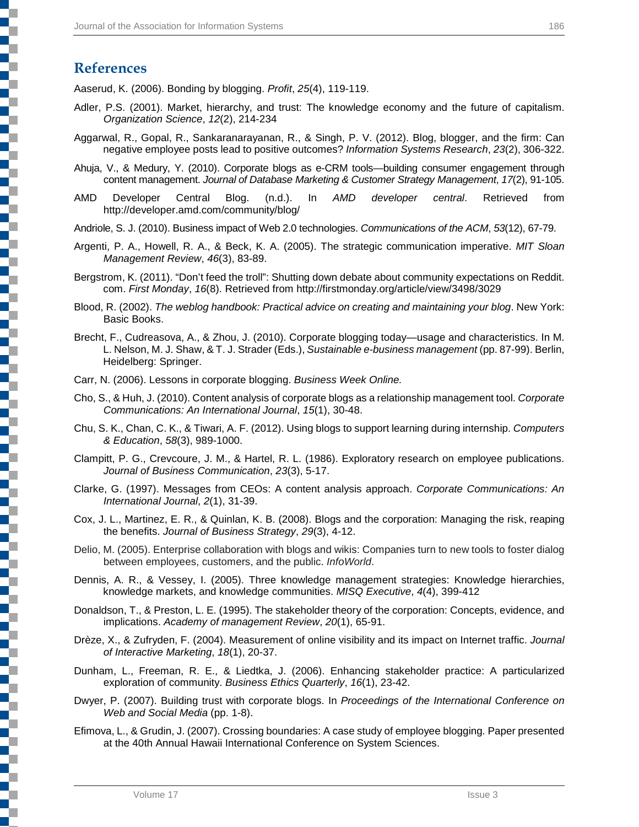## **References**

٦

Aaserud, K. (2006). Bonding by blogging. *Profit*, *25*(4), 119-119.

- Adler, P.S. (2001). Market, hierarchy, and trust: The knowledge economy and the future of capitalism. *Organization Science*, *12*(2), 214-234
- Aggarwal, R., Gopal, R., Sankaranarayanan, R., & Singh, P. V. (2012). Blog, blogger, and the firm: Can negative employee posts lead to positive outcomes? *Information Systems Research*, *23*(2), 306-322.
- Ahuja, V., & Medury, Y. (2010). Corporate blogs as e-CRM tools—building consumer engagement through content management. *Journal of Database Marketing & Customer Strategy Management*, *17*(2), 91-105.
- AMD Developer Central Blog. (n.d.). In *AMD developer central*. Retrieved from http://developer.amd.com/community/blog/
- Andriole, S. J. (2010). Business impact of Web 2.0 technologies. *Communications of the ACM*, *53*(12), 67-79.
- Argenti, P. A., Howell, R. A., & Beck, K. A. (2005). The strategic communication imperative. *MIT Sloan Management Review*, *46*(3), 83-89.
- Bergstrom, K. (2011). "Don't feed the troll": Shutting down debate about community expectations on Reddit. com. *First Monday*, *16*(8). Retrieved from http://firstmonday.org/article/view/3498/3029
- Blood, R. (2002). *The weblog handbook: Practical advice on creating and maintaining your blog*. New York: Basic Books.
- Brecht, F., Cudreasova, A., & Zhou, J. (2010). Corporate blogging today—usage and characteristics. In M. L. Nelson, M. J. Shaw, & T. J. Strader (Eds.), *Sustainable e-business management* (pp. 87-99). Berlin, Heidelberg: Springer.
- Carr, N. (2006). Lessons in corporate blogging. *Business Week Online.*
- Cho, S., & Huh, J. (2010). Content analysis of corporate blogs as a relationship management tool. *Corporate Communications: An International Journal*, *15*(1), 30-48.
- Chu, S. K., Chan, C. K., & Tiwari, A. F. (2012). Using blogs to support learning during internship. *Computers & Education*, *58*(3), 989-1000.
- Clampitt, P. G., Crevcoure, J. M., & Hartel, R. L. (1986). Exploratory research on employee publications. *Journal of Business Communication*, *23*(3), 5-17.
- Clarke, G. (1997). Messages from CEOs: A content analysis approach. *Corporate Communications: An International Journal*, *2*(1), 31-39.
- Cox, J. L., Martinez, E. R., & Quinlan, K. B. (2008). Blogs and the corporation: Managing the risk, reaping the benefits. *Journal of Business Strategy*, *29*(3), 4-12.
- Delio, M. (2005). Enterprise collaboration with blogs and wikis: Companies turn to new tools to foster dialog between employees, customers, and the public. *InfoWorld*.
- Dennis, A. R., & Vessey, I. (2005). Three knowledge management strategies: Knowledge hierarchies, knowledge markets, and knowledge communities. *MISQ Executive*, *4*(4), 399-412
- Donaldson, T., & Preston, L. E. (1995). The stakeholder theory of the corporation: Concepts, evidence, and implications. *Academy of management Review*, *20*(1), 65-91.
- Drèze, X., & Zufryden, F. (2004). Measurement of online visibility and its impact on Internet traffic. *Journal of Interactive Marketing*, *18*(1), 20-37.
- Dunham, L., Freeman, R. E., & Liedtka, J. (2006). Enhancing stakeholder practice: A particularized exploration of community. *Business Ethics Quarterly*, *16*(1), 23-42.
- Dwyer, P. (2007). Building trust with corporate blogs. In *Proceedings of the International Conference on Web and Social Media* (pp. 1-8).
- Efimova, L., & Grudin, J. (2007). Crossing boundaries: A case study of employee blogging. Paper presented at the 40th Annual Hawaii International Conference on System Sciences.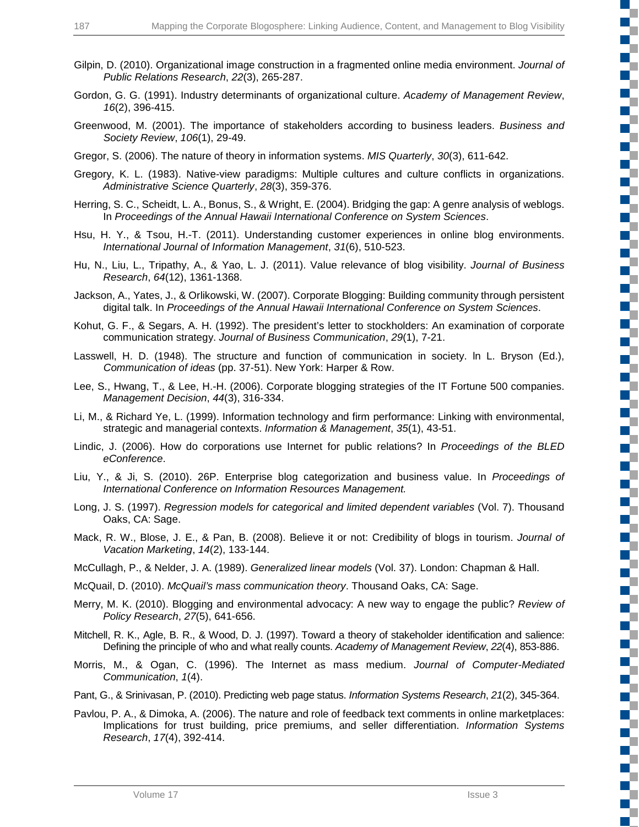- Gilpin, D. (2010). Organizational image construction in a fragmented online media environment. *Journal of Public Relations Research*, *22*(3), 265-287.
- Gordon, G. G. (1991). Industry determinants of organizational culture. *Academy of Management Review*, *16*(2), 396-415.
- Greenwood, M. (2001). The importance of stakeholders according to business leaders. *Business and Society Review*, *106*(1), 29-49.
- Gregor, S. (2006). The nature of theory in information systems. *MIS Quarterly*, *30*(3), 611-642.
- Gregory, K. L. (1983). Native-view paradigms: Multiple cultures and culture conflicts in organizations. *Administrative Science Quarterly*, *28*(3), 359-376.
- Herring, S. C., Scheidt, L. A., Bonus, S., & Wright, E. (2004). Bridging the gap: A genre analysis of weblogs. In *Proceedings of the Annual Hawaii International Conference on System Sciences*.
- Hsu, H. Y., & Tsou, H.-T. (2011). Understanding customer experiences in online blog environments. *International Journal of Information Management*, *31*(6), 510-523.
- Hu, N., Liu, L., Tripathy, A., & Yao, L. J. (2011). Value relevance of blog visibility. *Journal of Business Research*, *64*(12), 1361-1368.
- Jackson, A., Yates, J., & Orlikowski, W. (2007). Corporate Blogging: Building community through persistent digital talk. In *Proceedings of the Annual Hawaii International Conference on System Sciences*.
- Kohut, G. F., & Segars, A. H. (1992). The president's letter to stockholders: An examination of corporate communication strategy. *Journal of Business Communication*, *29*(1), 7-21.
- Lasswell, H. D. (1948). The structure and function of communication in society. ln L. Bryson (Ed.), *Communication of ideas* (pp. 37-51). New York: Harper & Row.
- Lee, S., Hwang, T., & Lee, H.-H. (2006). Corporate blogging strategies of the IT Fortune 500 companies. *Management Decision*, *44*(3), 316-334.
- Li, M., & Richard Ye, L. (1999). Information technology and firm performance: Linking with environmental, strategic and managerial contexts. *Information & Management*, *35*(1), 43-51.
- Lindic, J. (2006). How do corporations use Internet for public relations? In *Proceedings of the BLED eConference*.
- Liu, Y., & Ji, S. (2010). 26P. Enterprise blog categorization and business value. In *Proceedings of International Conference on Information Resources Management.*
- Long, J. S. (1997). *Regression models for categorical and limited dependent variables* (Vol. 7). Thousand Oaks, CA: Sage.
- Mack, R. W., Blose, J. E., & Pan, B. (2008). Believe it or not: Credibility of blogs in tourism. *Journal of Vacation Marketing*, *14*(2), 133-144.
- McCullagh, P., & Nelder, J. A. (1989). *Generalized linear models* (Vol. 37). London: Chapman & Hall.
- McQuail, D. (2010). *McQuail's mass communication theory*. Thousand Oaks, CA: Sage.
- Merry, M. K. (2010). Blogging and environmental advocacy: A new way to engage the public? *Review of Policy Research*, *27*(5), 641-656.
- Mitchell, R. K., Agle, B. R., & Wood, D. J. (1997). Toward a theory of stakeholder identification and salience: Defining the principle of who and what really counts. *Academy of Management Review*, *22*(4), 853-886.
- Morris, M., & Ogan, C. (1996). The Internet as mass medium. *Journal of Computer-Mediated Communication*, *1*(4).
- Pant, G., & Srinivasan, P. (2010). Predicting web page status. *Information Systems Research*, *21*(2), 345-364.
- Pavlou, P. A., & Dimoka, A. (2006). The nature and role of feedback text comments in online marketplaces: Implications for trust building, price premiums, and seller differentiation. *Information Systems Research*, *17*(4), 392-414.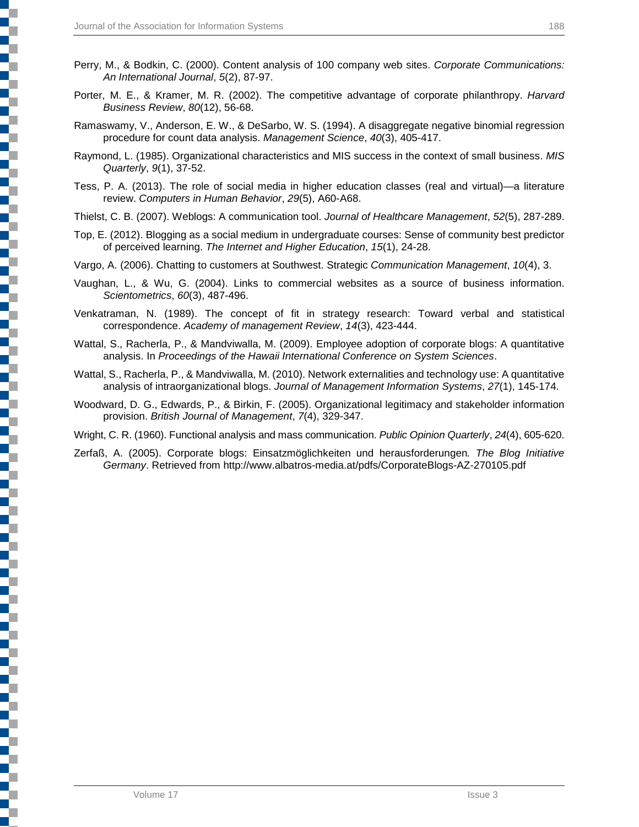- Perry, M., & Bodkin, C. (2000). Content analysis of 100 company web sites. *Corporate Communications: An International Journal*, *5*(2), 87-97.
- Porter, M. E., & Kramer, M. R. (2002). The competitive advantage of corporate philanthropy. *Harvard Business Review*, *80*(12), 56-68.
- Ramaswamy, V., Anderson, E. W., & DeSarbo, W. S. (1994). A disaggregate negative binomial regression procedure for count data analysis. *Management Science*, *40*(3), 405-417.
- Raymond, L. (1985). Organizational characteristics and MIS success in the context of small business. *MIS Quarterly*, *9*(1), 37-52.
- Tess, P. A. (2013). The role of social media in higher education classes (real and virtual)—a literature review. *Computers in Human Behavior*, *29*(5), A60-A68.
- Thielst, C. B. (2007). Weblogs: A communication tool. *Journal of Healthcare Management*, *52*(5), 287-289.
- Top, E. (2012). Blogging as a social medium in undergraduate courses: Sense of community best predictor of perceived learning. *The Internet and Higher Education*, *15*(1), 24-28.
- Vargo, A. (2006). Chatting to customers at Southwest. Strategic *Communication Management*, *10*(4), 3.
- Vaughan, L., & Wu, G. (2004). Links to commercial websites as a source of business information. *Scientometrics*, *60*(3), 487-496.
- Venkatraman, N. (1989). The concept of fit in strategy research: Toward verbal and statistical correspondence. *Academy of management Review*, *14*(3), 423-444.
- Wattal, S., Racherla, P., & Mandviwalla, M. (2009). Employee adoption of corporate blogs: A quantitative analysis. In *Proceedings of the Hawaii International Conference on System Sciences*.
- Wattal, S., Racherla, P., & Mandviwalla, M. (2010). Network externalities and technology use: A quantitative analysis of intraorganizational blogs. *Journal of Management Information Systems*, *27*(1), 145-174.
- Woodward, D. G., Edwards, P., & Birkin, F. (2005). Organizational legitimacy and stakeholder information provision. *British Journal of Management*, *7*(4), 329-347.

Wright, C. R. (1960). Functional analysis and mass communication. *Public Opinion Quarterly*, *24*(4), 605-620.

Zerfaß, A. (2005). Corporate blogs: Einsatzmöglichkeiten und herausforderungen*. The Blog Initiative Germany*. Retrieved from http://www.albatros-media.at/pdfs/CorporateBlogs-AZ-270105.pdf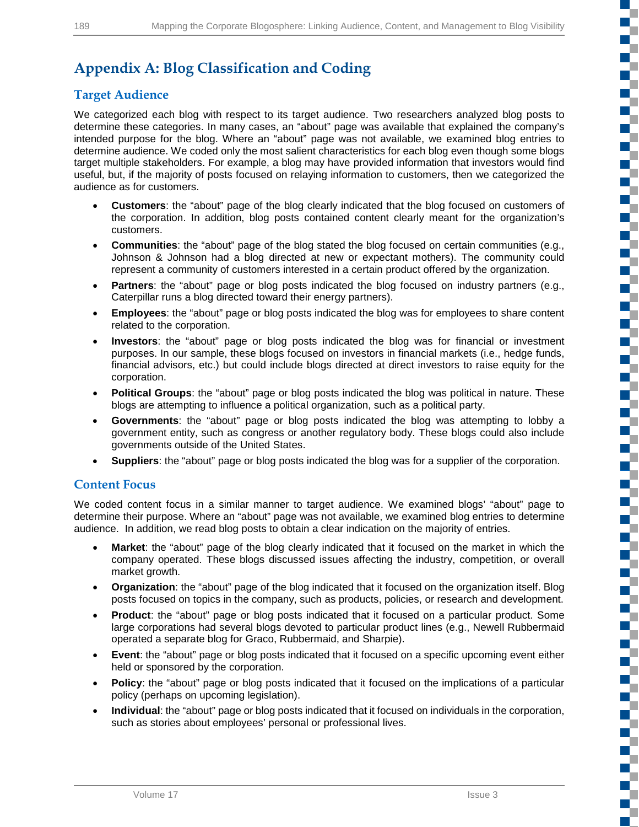г c

T

E. T. T.

 $\blacksquare$ Œ

T

٣Ē

Г C

Г Г a. T T

E. <u>rije</u> Г T. c T.

# **Appendix A: Blog Classification and Coding**

## **Target Audience**

We categorized each blog with respect to its target audience. Two researchers analyzed blog posts to determine these categories. In many cases, an "about" page was available that explained the company's intended purpose for the blog. Where an "about" page was not available, we examined blog entries to determine audience. We coded only the most salient characteristics for each blog even though some blogs target multiple stakeholders. For example, a blog may have provided information that investors would find useful, but, if the majority of posts focused on relaying information to customers, then we categorized the audience as for customers.

- **Customers**: the "about" page of the blog clearly indicated that the blog focused on customers of the corporation. In addition, blog posts contained content clearly meant for the organization's customers.
- **Communities**: the "about" page of the blog stated the blog focused on certain communities (e.g., Johnson & Johnson had a blog directed at new or expectant mothers). The community could represent a community of customers interested in a certain product offered by the organization.
- **Partners**: the "about" page or blog posts indicated the blog focused on industry partners (e.g., Caterpillar runs a blog directed toward their energy partners).
- **Employees**: the "about" page or blog posts indicated the blog was for employees to share content related to the corporation.
- **Investors**: the "about" page or blog posts indicated the blog was for financial or investment purposes. In our sample, these blogs focused on investors in financial markets (i.e., hedge funds, financial advisors, etc.) but could include blogs directed at direct investors to raise equity for the corporation.
- **Political Groups**: the "about" page or blog posts indicated the blog was political in nature. These blogs are attempting to influence a political organization, such as a political party.
- **Governments**: the "about" page or blog posts indicated the blog was attempting to lobby a government entity, such as congress or another regulatory body. These blogs could also include governments outside of the United States.
- **Suppliers**: the "about" page or blog posts indicated the blog was for a supplier of the corporation.

### **Content Focus**

We coded content focus in a similar manner to target audience. We examined blogs' "about" page to determine their purpose. Where an "about" page was not available, we examined blog entries to determine audience. In addition, we read blog posts to obtain a clear indication on the majority of entries.

- **Market:** the "about" page of the blog clearly indicated that it focused on the market in which the company operated. These blogs discussed issues affecting the industry, competition, or overall market growth.
- **Organization**: the "about" page of the blog indicated that it focused on the organization itself. Blog posts focused on topics in the company, such as products, policies, or research and development.
- **Product**: the "about" page or blog posts indicated that it focused on a particular product. Some large corporations had several blogs devoted to particular product lines (e.g., Newell Rubbermaid operated a separate blog for Graco, Rubbermaid, and Sharpie).
- **Event**: the "about" page or blog posts indicated that it focused on a specific upcoming event either held or sponsored by the corporation.
- **Policy**: the "about" page or blog posts indicated that it focused on the implications of a particular policy (perhaps on upcoming legislation).
- **Individual**: the "about" page or blog posts indicated that it focused on individuals in the corporation, such as stories about employees' personal or professional lives.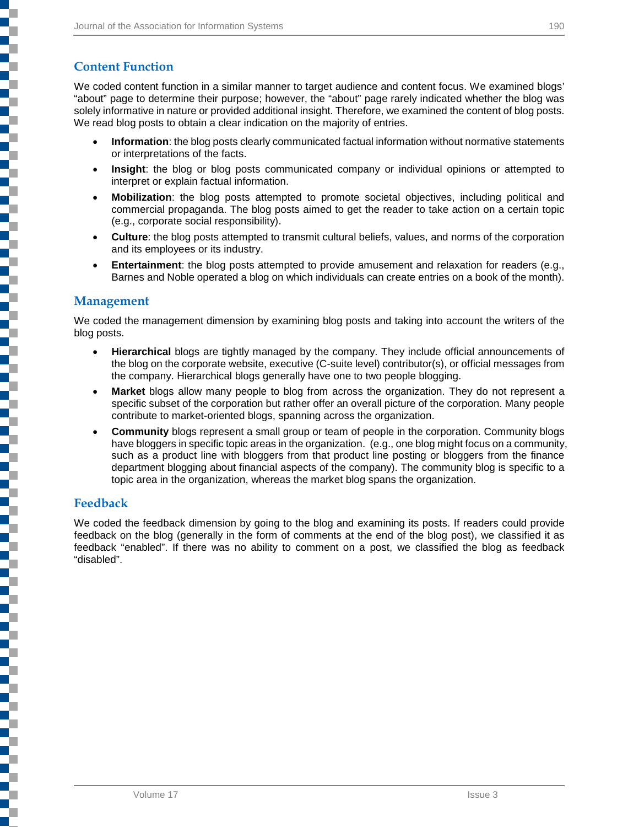### **Content Function**

Ę

We coded content function in a similar manner to target audience and content focus. We examined blogs' "about" page to determine their purpose; however, the "about" page rarely indicated whether the blog was solely informative in nature or provided additional insight. Therefore, we examined the content of blog posts. We read blog posts to obtain a clear indication on the majority of entries.

- **Information**: the blog posts clearly communicated factual information without normative statements or interpretations of the facts.
- **Insight**: the blog or blog posts communicated company or individual opinions or attempted to interpret or explain factual information.
- **Mobilization**: the blog posts attempted to promote societal objectives, including political and commercial propaganda. The blog posts aimed to get the reader to take action on a certain topic (e.g., corporate social responsibility).
- **Culture**: the blog posts attempted to transmit cultural beliefs, values, and norms of the corporation and its employees or its industry.
- **Entertainment**: the blog posts attempted to provide amusement and relaxation for readers (e.g., Barnes and Noble operated a blog on which individuals can create entries on a book of the month).

### **Management**

We coded the management dimension by examining blog posts and taking into account the writers of the blog posts.

- **Hierarchical** blogs are tightly managed by the company. They include official announcements of the blog on the corporate website, executive (C-suite level) contributor(s), or official messages from the company. Hierarchical blogs generally have one to two people blogging.
- **Market** blogs allow many people to blog from across the organization. They do not represent a specific subset of the corporation but rather offer an overall picture of the corporation. Many people contribute to market-oriented blogs, spanning across the organization.
- **Community** blogs represent a small group or team of people in the corporation. Community blogs have bloggers in specific topic areas in the organization. (e.g., one blog might focus on a community, such as a product line with bloggers from that product line posting or bloggers from the finance department blogging about financial aspects of the company). The community blog is specific to a topic area in the organization, whereas the market blog spans the organization.

#### **Feedback**

We coded the feedback dimension by going to the blog and examining its posts. If readers could provide feedback on the blog (generally in the form of comments at the end of the blog post), we classified it as feedback "enabled". If there was no ability to comment on a post, we classified the blog as feedback "disabled".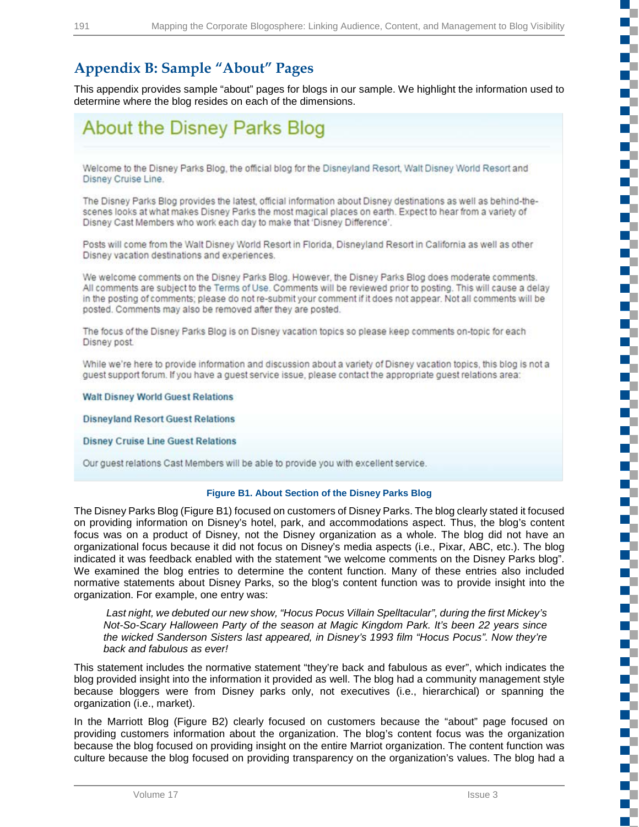# **Appendix B: Sample "About" Pages**

This appendix provides sample "about" pages for blogs in our sample. We highlight the information used to determine where the blog resides on each of the dimensions.

# **About the Disney Parks Blog**

Welcome to the Disney Parks Blog, the official blog for the Disneyland Resort, Walt Disney World Resort and Disney Cruise Line.

The Disney Parks Blog provides the latest, official information about Disney destinations as well as behind-thescenes looks at what makes Disney Parks the most magical places on earth. Expect to hear from a variety of Disney Cast Members who work each day to make that 'Disney Difference'.

Posts will come from the Walt Disney World Resort in Florida, Disneyland Resort in California as well as other Disney vacation destinations and experiences.

We welcome comments on the Disney Parks Blog. However, the Disney Parks Blog does moderate comments. All comments are subject to the Terms of Use. Comments will be reviewed prior to posting. This will cause a delay in the posting of comments; please do not re-submit your comment if it does not appear. Not all comments will be posted. Comments may also be removed after they are posted.

The focus of the Disney Parks Blog is on Disney vacation topics so please keep comments on-topic for each Disney post.

While we're here to provide information and discussion about a variety of Disney vacation topics, this blog is not a guest support forum. If you have a guest service issue, please contact the appropriate guest relations area:

**Walt Disney World Guest Relations** 

**Disneyland Resort Guest Relations** 

**Disney Cruise Line Guest Relations** 

Our quest relations Cast Members will be able to provide you with excellent service.

#### **Figure B1. About Section of the Disney Parks Blog**

The Disney Parks Blog (Figure B1) focused on customers of Disney Parks. The blog clearly stated it focused on providing information on Disney's hotel, park, and accommodations aspect. Thus, the blog's content focus was on a product of Disney, not the Disney organization as a whole. The blog did not have an organizational focus because it did not focus on Disney's media aspects (i.e., Pixar, ABC, etc.). The blog indicated it was feedback enabled with the statement "we welcome comments on the Disney Parks blog". We examined the blog entries to determine the content function. Many of these entries also included normative statements about Disney Parks, so the blog's content function was to provide insight into the organization. For example, one entry was:

*Last night, we debuted our new show, "Hocus Pocus Villain Spelltacular", during the first Mickey's Not-So-Scary Halloween Party of the season at Magic Kingdom Park. It's been 22 years since the wicked Sanderson Sisters last appeared, in Disney's 1993 film "Hocus Pocus". Now they're back and fabulous as ever!*

This statement includes the normative statement "they're back and fabulous as ever", which indicates the blog provided insight into the information it provided as well. The blog had a community management style because bloggers were from Disney parks only, not executives (i.e., hierarchical) or spanning the organization (i.e., market).

In the Marriott Blog (Figure B2) clearly focused on customers because the "about" page focused on providing customers information about the organization. The blog's content focus was the organization because the blog focused on providing insight on the entire Marriot organization. The content function was culture because the blog focused on providing transparency on the organization's values. The blog had a J.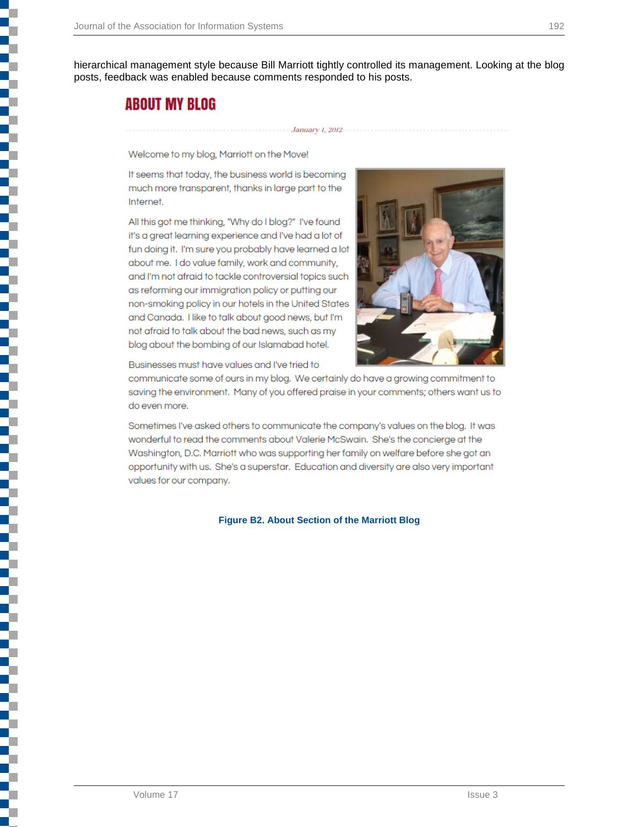hierarchical management style because Bill Marriott tightly controlled its management. Looking at the blog posts, feedback was enabled because comments responded to his posts.

January 1, 2012-

# **ABOUT MY BLOG**

ī

i<br>I

i<br>L

i<br>I

Welcome to my blog, Marriott on the Move!

It seems that today, the business world is becoming much more transparent, thanks in large part to the Internet.

All this got me thinking, "Why do I blog?" I've found it's a great learning experience and I've had a lot of fun doing it. I'm sure you probably have learned a lot about me. I do value family, work and community, and I'm not afraid to tackle controversial topics such as reforming our immigration policy or putting our non-smoking policy in our hotels in the United States and Canada. I like to talk about good news, but I'm not afraid to talk about the bad news, such as my blog about the bombing of our Islamabad hotel.



Businesses must have values and I've tried to

communicate some of ours in my blog. We certainly do have a growing commitment to saving the environment. Many of you offered praise in your comments; others want us to do even more.

Sometimes I've asked others to communicate the company's values on the blog. It was wonderful to read the comments about Valerie McSwain. She's the concierge at the Washington, D.C. Marriott who was supporting her family on welfare before she got an opportunity with us. She's a superstar. Education and diversity are also very important values for our company.

#### **Figure B2. About Section of the Marriott Blog**